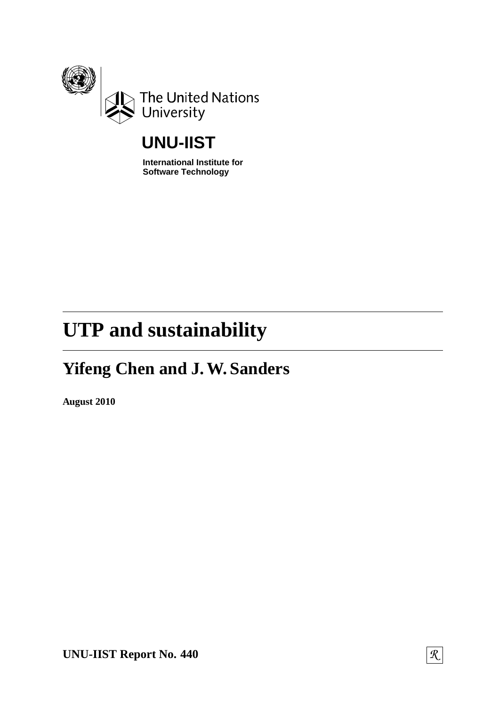

## **UNU-IIST**

**International Institute for Software Technology**

# **UTP and sustainability**

# **Yifeng Chen and J. W. Sanders**

**August 2010**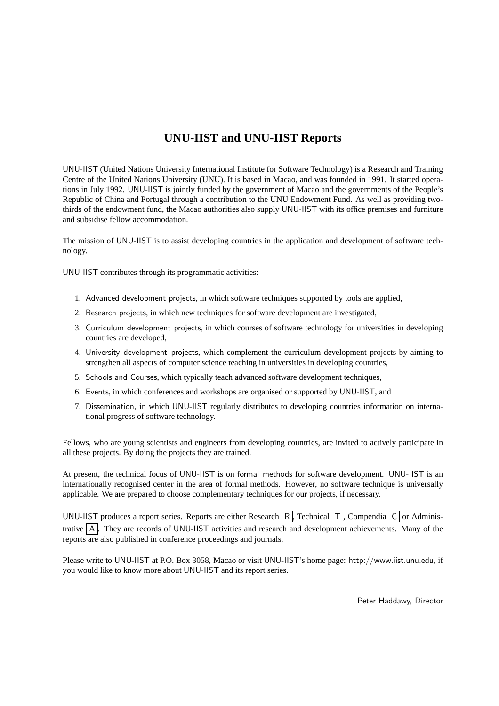## **UNU-IIST and UNU-IIST Reports**

UNU-IIST (United Nations University International Institute for Software Technology) is a Research and Training Centre of the United Nations University (UNU). It is based in Macao, and was founded in 1991. It started operations in July 1992. UNU-IIST is jointly funded by the government of Macao and the governments of the People's Republic of China and Portugal through a contribution to the UNU Endowment Fund. As well as providing twothirds of the endowment fund, the Macao authorities also supply UNU-IIST with its office premises and furniture and subsidise fellow accommodation.

The mission of UNU-IIST is to assist developing countries in the application and development of software technology.

UNU-IIST contributes through its programmatic activities:

- 1. Advanced development projects, in which software techniques supported by tools are applied,
- 2. Research projects, in which new techniques for software development are investigated,
- 3. Curriculum development projects, in which courses of software technology for universities in developing countries are developed,
- 4. University development projects, which complement the curriculum development projects by aiming to strengthen all aspects of computer science teaching in universities in developing countries,
- 5. Schools and Courses, which typically teach advanced software development techniques,
- 6. Events, in which conferences and workshops are organised or supported by UNU-IIST, and
- 7. Dissemination, in which UNU-IIST regularly distributes to developing countries information on international progress of software technology.

Fellows, who are young scientists and engineers from developing countries, are invited to actively participate in all these projects. By doing the projects they are trained.

At present, the technical focus of UNU-IIST is on formal methods for software development. UNU-IIST is an internationally recognised center in the area of formal methods. However, no software technique is universally applicable. We are prepared to choose complementary techniques for our projects, if necessary.

UNU-IIST produces a report series. Reports are either Research  $\overline{R}$ , Technical  $\overline{T}$ , Compendia  $\overline{C}$  or Administrative  $\overline{A}$ . They are records of UNU-IIST activities and research and development achievements. Many of the reports are also published in conference proceedings and journals.

Please write to UNU-IIST at P.O. Box 3058, Macao or visit UNU-IIST's home page: http://www.iist.unu.edu, if you would like to know more about UNU-IIST and its report series.

Peter Haddawy, Director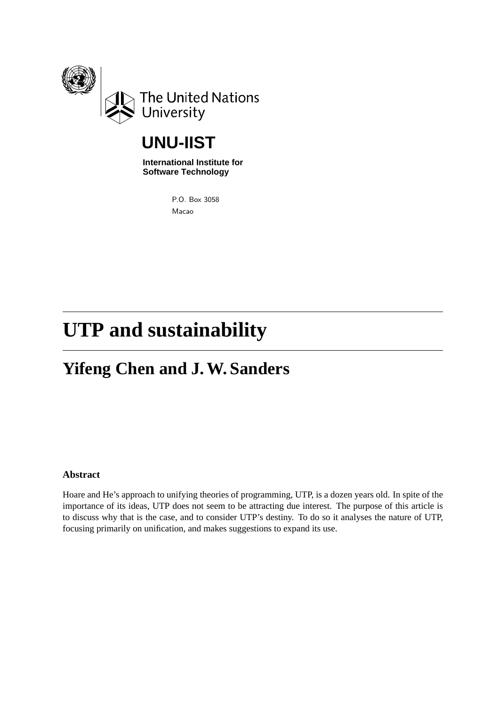

## **UNU-IIST**

**International Institute for Software Technology**

> P.O. Box 3058 Macao

# **UTP and sustainability**

## **Yifeng Chen and J. W. Sanders**

## **Abstract**

Hoare and He's approach to unifying theories of programming, UTP, is a dozen years old. In spite of the importance of its ideas, UTP does not seem to be attracting due interest. The purpose of this article is to discuss why that is the case, and to consider UTP's destiny. To do so it analyses the nature of UTP, focusing primarily on unification, and makes suggestions to expand its use.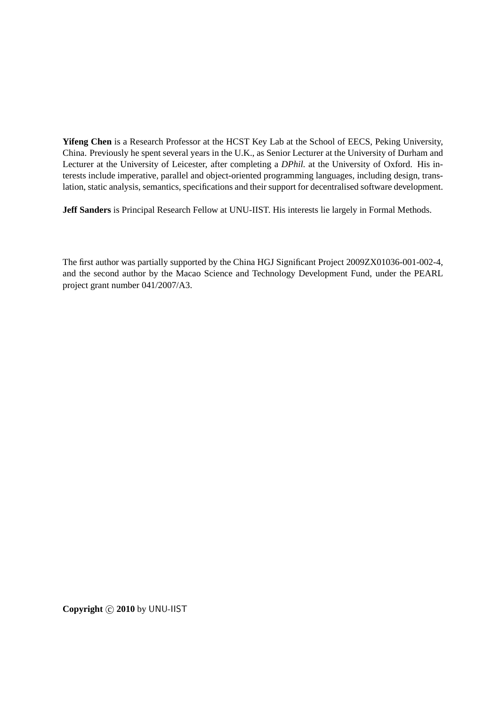**Yifeng Chen** is a Research Professor at the HCST Key Lab at the School of EECS, Peking University, China. Previously he spent several years in the U.K., as Senior Lecturer at the University of Durham and Lecturer at the University of Leicester, after completing a *DPhil.* at the University of Oxford. His interests include imperative, parallel and object-oriented programming languages, including design, translation, static analysis, semantics, specifications and their support for decentralised software development.

**Jeff Sanders** is Principal Research Fellow at UNU-IIST. His interests lie largely in Formal Methods.

The first author was partially supported by the China HGJ Significant Project 2009ZX01036-001-002-4, and the second author by the Macao Science and Technology Development Fund, under the PEARL project grant number 041/2007/A3.

**Copyright** © 2010 by UNU-IIST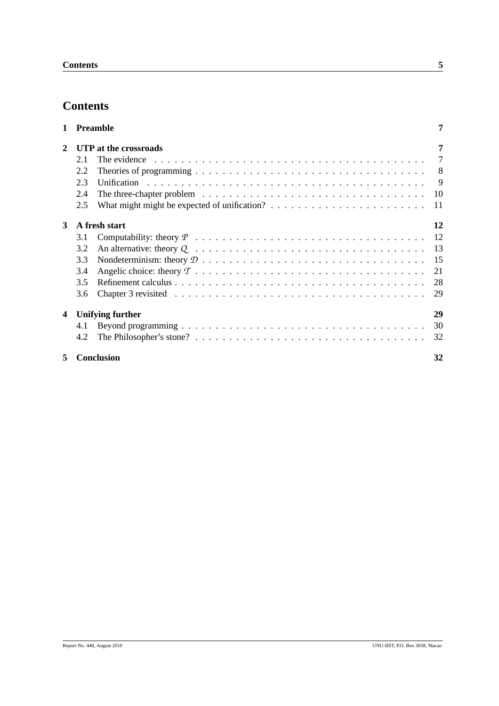## **Contents**

| 1            | <b>Preamble</b>                                                                                                        |     |
|--------------|------------------------------------------------------------------------------------------------------------------------|-----|
| $\mathbf{2}$ | UTP at the crossroads                                                                                                  | 7   |
|              | The evidence $\ldots \ldots \ldots \ldots \ldots \ldots \ldots \ldots \ldots \ldots \ldots \ldots \ldots$<br>2.1       |     |
|              | 2.2                                                                                                                    |     |
|              | 2.3                                                                                                                    |     |
|              | The three-chapter problem $\ldots \ldots \ldots \ldots \ldots \ldots \ldots \ldots \ldots \ldots \ldots \ldots$<br>2.4 | -10 |
|              | What might might be expected of unification? $\ldots \ldots \ldots \ldots \ldots \ldots \ldots \ldots$<br>2.5          | -11 |
| 3            | A fresh start                                                                                                          | 12  |
|              | 3.1                                                                                                                    |     |
|              | 3.2                                                                                                                    |     |
|              | 3.3                                                                                                                    |     |
|              | 3.4                                                                                                                    |     |
|              | 3.5                                                                                                                    |     |
|              | 3.6                                                                                                                    |     |
| 4            | <b>Unifying further</b>                                                                                                | 29  |
|              | 4.1                                                                                                                    |     |
|              | 4.2                                                                                                                    | 32  |
| 5.           | <b>Conclusion</b>                                                                                                      | 32  |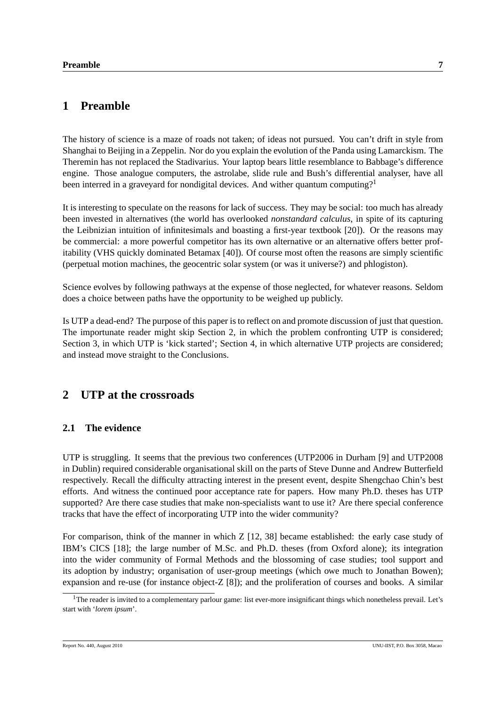## **1 Preamble**

The history of science is a maze of roads not taken; of ideas not pursued. You can't drift in style from Shanghai to Beijing in a Zeppelin. Nor do you explain the evolution of the Panda using Lamarckism. The Theremin has not replaced the Stadivarius. Your laptop bears little resemblance to Babbage's difference engine. Those analogue computers, the astrolabe, slide rule and Bush's differential analyser, have all been interred in a graveyard for nondigital devices. And wither quantum computing?<sup>1</sup>

It is interesting to speculate on the reasons for lack of success. They may be social: too much has already been invested in alternatives (the world has overlooked *nonstandard calculus*, in spite of its capturing the Leibnizian intuition of infinitesimals and boasting a first-year textbook [20]). Or the reasons may be commercial: a more powerful competitor has its own alternative or an alternative offers better profitability (VHS quickly dominated Betamax [40]). Of course most often the reasons are simply scientific (perpetual motion machines, the geocentric solar system (or was it universe?) and phlogiston).

Science evolves by following pathways at the expense of those neglected, for whatever reasons. Seldom does a choice between paths have the opportunity to be weighed up publicly.

Is UTP a dead-end? The purpose of this paper is to reflect on and promote discussion of just that question. The importunate reader might skip Section 2, in which the problem confronting UTP is considered; Section 3, in which UTP is 'kick started'; Section 4, in which alternative UTP projects are considered; and instead move straight to the Conclusions.

## **2 UTP at the crossroads**

#### **2.1 The evidence**

UTP is struggling. It seems that the previous two conferences (UTP2006 in Durham [9] and UTP2008 in Dublin) required considerable organisational skill on the parts of Steve Dunne and Andrew Butterfield respectively. Recall the difficulty attracting interest in the present event, despite Shengchao Chin's best efforts. And witness the continued poor acceptance rate for papers. How many Ph.D. theses has UTP supported? Are there case studies that make non-specialists want to use it? Are there special conference tracks that have the effect of incorporating UTP into the wider community?

For comparison, think of the manner in which Z [12, 38] became established: the early case study of IBM's CICS [18]; the large number of M.Sc. and Ph.D. theses (from Oxford alone); its integration into the wider community of Formal Methods and the blossoming of case studies; tool support and its adoption by industry; organisation of user-group meetings (which owe much to Jonathan Bowen); expansion and re-use (for instance object-Z [8]); and the proliferation of courses and books. A similar

<sup>&</sup>lt;sup>1</sup>The reader is invited to a complementary parlour game: list ever-more insignificant things which nonetheless prevail. Let's start with '*lorem ipsum*'.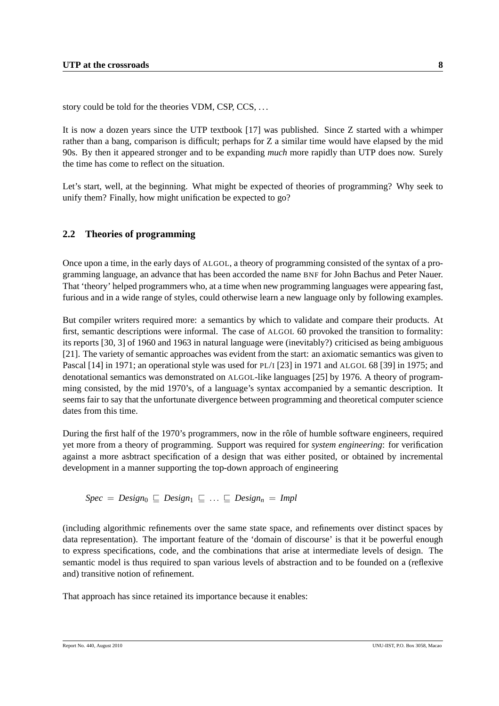story could be told for the theories VDM, CSP, CCS, . . .

It is now a dozen years since the UTP textbook [17] was published. Since Z started with a whimper rather than a bang, comparison is difficult; perhaps for Z a similar time would have elapsed by the mid 90s. By then it appeared stronger and to be expanding *much* more rapidly than UTP does now. Surely the time has come to reflect on the situation.

Let's start, well, at the beginning. What might be expected of theories of programming? Why seek to unify them? Finally, how might unification be expected to go?

#### **2.2 Theories of programming**

Once upon a time, in the early days of ALGOL, a theory of programming consisted of the syntax of a programming language, an advance that has been accorded the name BNF for John Bachus and Peter Nauer. That 'theory' helped programmers who, at a time when new programming languages were appearing fast, furious and in a wide range of styles, could otherwise learn a new language only by following examples.

But compiler writers required more: a semantics by which to validate and compare their products. At first, semantic descriptions were informal. The case of ALGOL 60 provoked the transition to formality: its reports [30, 3] of 1960 and 1963 in natural language were (inevitably?) criticised as being ambiguous [21]. The variety of semantic approaches was evident from the start: an axiomatic semantics was given to Pascal [14] in 1971; an operational style was used for PL/I [23] in 1971 and ALGOL 68 [39] in 1975; and denotational semantics was demonstrated on ALGOL-like languages [25] by 1976. A theory of programming consisted, by the mid 1970's, of a language's syntax accompanied by a semantic description. It seems fair to say that the unfortunate divergence between programming and theoretical computer science dates from this time.

During the first half of the 1970's programmers, now in the rôle of humble software engineers, required yet more from a theory of programming. Support was required for *system engineering*: for verification against a more asbtract specification of a design that was either posited, or obtained by incremental development in a manner supporting the top-down approach of engineering

$$
Spec = Design_0 \sqsubseteq Design_1 \sqsubseteq ... \sqsubseteq Design_n = Impl
$$

(including algorithmic refinements over the same state space, and refinements over distinct spaces by data representation). The important feature of the 'domain of discourse' is that it be powerful enough to express specifications, code, and the combinations that arise at intermediate levels of design. The semantic model is thus required to span various levels of abstraction and to be founded on a (reflexive and) transitive notion of refinement.

That approach has since retained its importance because it enables: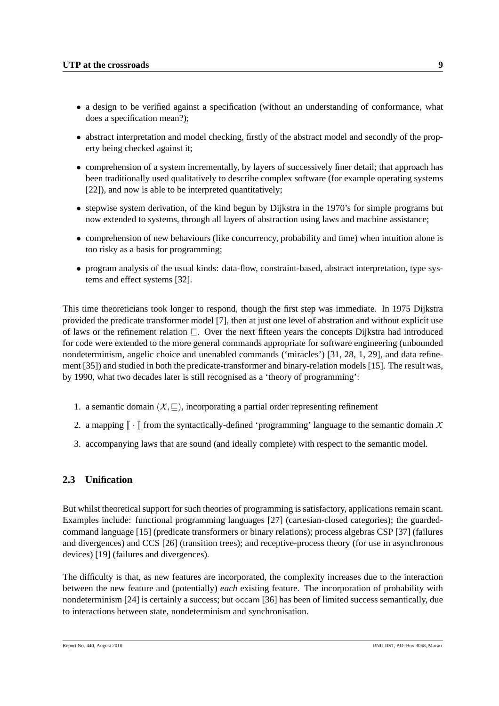- a design to be verified against a specification (without an understanding of conformance, what does a specification mean?);
- abstract interpretation and model checking, firstly of the abstract model and secondly of the property being checked against it;
- comprehension of a system incrementally, by layers of successively finer detail; that approach has been traditionally used qualitatively to describe complex software (for example operating systems [22]), and now is able to be interpreted quantitatively;
- stepwise system derivation, of the kind begun by Dijkstra in the 1970's for simple programs but now extended to systems, through all layers of abstraction using laws and machine assistance;
- comprehension of new behaviours (like concurrency, probability and time) when intuition alone is too risky as a basis for programming;
- program analysis of the usual kinds: data-flow, constraint-based, abstract interpretation, type systems and effect systems [32].

This time theoreticians took longer to respond, though the first step was immediate. In 1975 Dijkstra provided the predicate transformer model [7], then at just one level of abstration and without explicit use of laws or the refinement relation ⊑. Over the next fifteen years the concepts Dijkstra had introduced for code were extended to the more general commands appropriate for software engineering (unbounded nondeterminism, angelic choice and unenabled commands ('miracles') [31, 28, 1, 29], and data refinement [35]) and studied in both the predicate-transformer and binary-relation models [15]. The result was, by 1990, what two decades later is still recognised as a 'theory of programming':

- 1. a semantic domain (*X*,⊑), incorporating a partial order representing refinement
- 2. a mapping  $\lceil \cdot \rceil$  from the syntactically-defined 'programming' language to the semantic domain X
- 3. accompanying laws that are sound (and ideally complete) with respect to the semantic model.

#### **2.3 Unification**

But whilst theoretical support for such theories of programming is satisfactory, applications remain scant. Examples include: functional programming languages [27] (cartesian-closed categories); the guardedcommand language [15] (predicate transformers or binary relations); process algebras CSP [37] (failures and divergences) and CCS [26] (transition trees); and receptive-process theory (for use in asynchronous devices) [19] (failures and divergences).

The difficulty is that, as new features are incorporated, the complexity increases due to the interaction between the new feature and (potentially) *each* existing feature. The incorporation of probability with nondeterminism [24] is certainly a success; but occam [36] has been of limited success semantically, due to interactions between state, nondeterminism and synchronisation.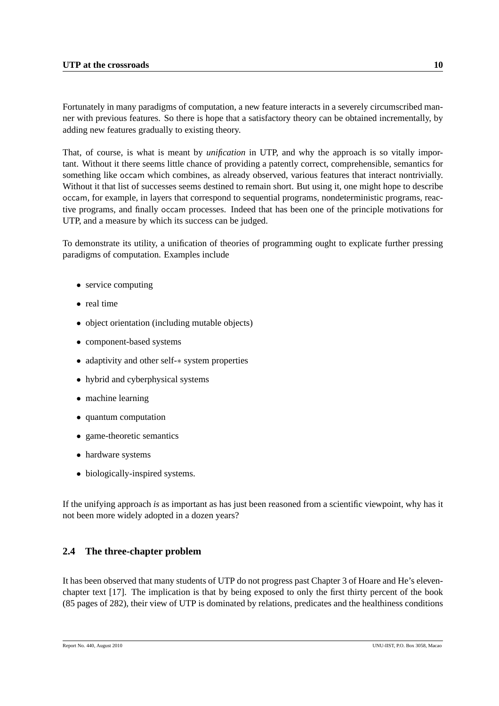Fortunately in many paradigms of computation, a new feature interacts in a severely circumscribed manner with previous features. So there is hope that a satisfactory theory can be obtained incrementally, by adding new features gradually to existing theory.

That, of course, is what is meant by *unification* in UTP, and why the approach is so vitally important. Without it there seems little chance of providing a patently correct, comprehensible, semantics for something like occam which combines, as already observed, various features that interact nontrivially. Without it that list of successes seems destined to remain short. But using it, one might hope to describe occam, for example, in layers that correspond to sequential programs, nondeterministic programs, reactive programs, and finally occam processes. Indeed that has been one of the principle motivations for UTP, and a measure by which its success can be judged.

To demonstrate its utility, a unification of theories of programming ought to explicate further pressing paradigms of computation. Examples include

- service computing
- real time
- object orientation (including mutable objects)
- component-based systems
- adaptivity and other self-∗ system properties
- hybrid and cyberphysical systems
- machine learning
- quantum computation
- game-theoretic semantics
- hardware systems
- biologically-inspired systems.

If the unifying approach *is* as important as has just been reasoned from a scientific viewpoint, why has it not been more widely adopted in a dozen years?

### **2.4 The three-chapter problem**

It has been observed that many students of UTP do not progress past Chapter 3 of Hoare and He's elevenchapter text [17]. The implication is that by being exposed to only the first thirty percent of the book (85 pages of 282), their view of UTP is dominated by relations, predicates and the healthiness conditions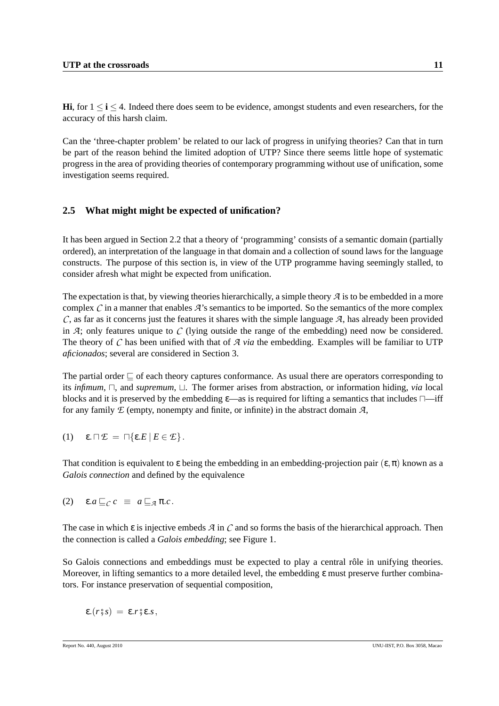**Hi**, for  $1 \le i \le 4$ . Indeed there does seem to be evidence, amongst students and even researchers, for the accuracy of this harsh claim.

Can the 'three-chapter problem' be related to our lack of progress in unifying theories? Can that in turn be part of the reason behind the limited adoption of UTP? Since there seems little hope of systematic progress in the area of providing theories of contemporary programming without use of unification, some investigation seems required.

#### **2.5 What might might be expected of unification?**

It has been argued in Section 2.2 that a theory of 'programming' consists of a semantic domain (partially ordered), an interpretation of the language in that domain and a collection of sound laws for the language constructs. The purpose of this section is, in view of the UTP programme having seemingly stalled, to consider afresh what might be expected from unification.

The expectation is that, by viewing theories hierarchically, a simple theory *A* is to be embedded in a more complex  $\mathcal C$  in a manner that enables  $\mathcal A$ 's semantics to be imported. So the semantics of the more complex *C*, as far as it concerns just the features it shares with the simple language *A*, has already been provided in  $A$ ; only features unique to  $C$  (lying outside the range of the embedding) need now be considered. The theory of *C* has been unified with that of *A via* the embedding. Examples will be familiar to UTP *aficionados*; several are considered in Section 3.

The partial order ⊑ of each theory captures conformance. As usual there are operators corresponding to its *infimum*, ⊓, and *supremum*, ⊔. The former arises from abstraction, or information hiding, *via* local blocks and it is preserved by the embedding  $\varepsilon$ —as is required for lifting a semantics that includes  $\Box$ —iff for any family *E* (empty, nonempty and finite, or infinite) in the abstract domain *A*,

(1) 
$$
\varepsilon \sqcap \mathcal{E} = \sqcap \{\varepsilon.E \mid E \in \mathcal{E}\}\.
$$

That condition is equivalent to  $\varepsilon$  being the embedding in an embedding-projection pair  $(\varepsilon,\pi)$  known as a *Galois connection* and defined by the equivalence

(2) 
$$
\mathbf{\varepsilon} \cdot a \sqsubseteq_{\mathcal{C}} c \equiv a \sqsubseteq_{\mathcal{A}} \pi \cdot c
$$
.

The case in which ε is injective embeds *A* in *C* and so forms the basis of the hierarchical approach. Then the connection is called a *Galois embedding*; see Figure 1.

So Galois connections and embeddings must be expected to play a central rôle in unifying theories. Moreover, in lifting semantics to a more detailed level, the embedding ε must preserve further combinators. For instance preservation of sequential composition,

$$
\varepsilon.(r\, \S\, s) = \varepsilon.r \S \varepsilon.s,
$$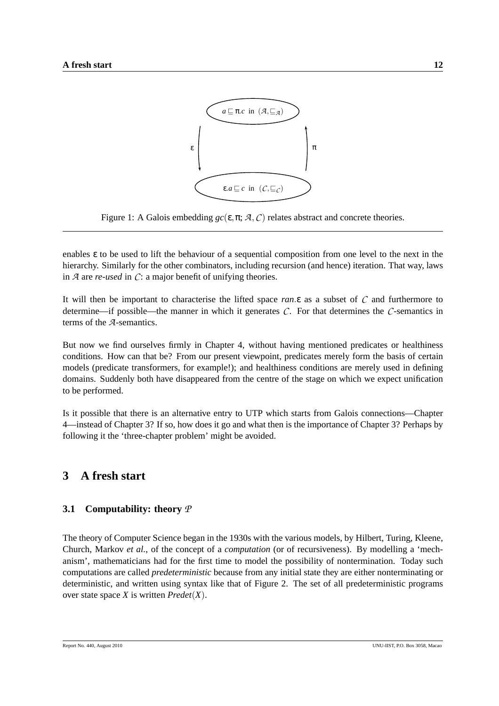

Figure 1: A Galois embedding  $gc(\varepsilon, \pi; \mathcal{A}, \mathcal{C})$  relates abstract and concrete theories.

enables ε to be used to lift the behaviour of a sequential composition from one level to the next in the hierarchy. Similarly for the other combinators, including recursion (and hence) iteration. That way, laws in *A* are *re-used* in *C*: a major benefit of unifying theories.

It will then be important to characterise the lifted space *ran*.ε as a subset of *C* and furthermore to determine—if possible—the manner in which it generates  $C$ . For that determines the  $C$ -semantics in terms of the *A*-semantics.

But now we find ourselves firmly in Chapter 4, without having mentioned predicates or healthiness conditions. How can that be? From our present viewpoint, predicates merely form the basis of certain models (predicate transformers, for example!); and healthiness conditions are merely used in defining domains. Suddenly both have disappeared from the centre of the stage on which we expect unification to be performed.

Is it possible that there is an alternative entry to UTP which starts from Galois connections—Chapter 4—instead of Chapter 3? If so, how does it go and what then is the importance of Chapter 3? Perhaps by following it the 'three-chapter problem' might be avoided.

## **3 A fresh start**

### **3.1 Computability: theory** *P*

The theory of Computer Science began in the 1930s with the various models, by Hilbert, Turing, Kleene, Church, Markov *et al.*, of the concept of a *computation* (or of recursiveness). By modelling a 'mechanism', mathematicians had for the first time to model the possibility of nontermination. Today such computations are called *predeterministic* because from any initial state they are either nonterminating or deterministic, and written using syntax like that of Figure 2. The set of all predeterministic programs over state space *X* is written *Predet*(*X*).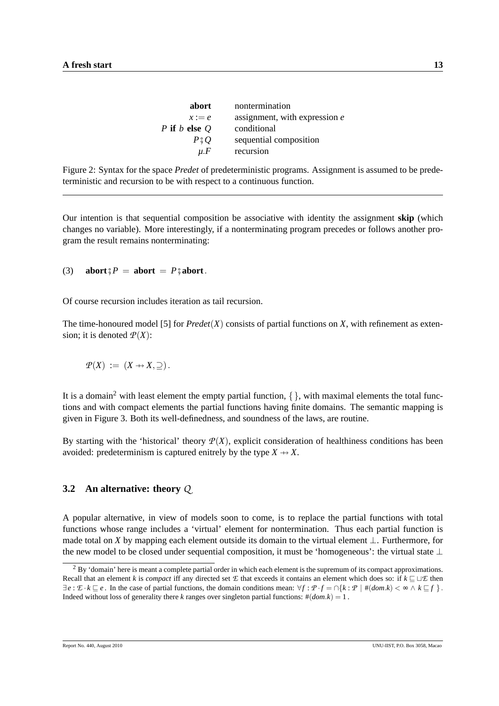| abort           | nontermination                  |
|-----------------|---------------------------------|
| $x := e$        | assignment, with expression $e$ |
| P if b else $Q$ | conditional                     |
| $P$ ; Q         | sequential composition          |
| $\mu$ . $F$     | recursion                       |

Figure 2: Syntax for the space *Predet* of predeterministic programs. Assignment is assumed to be predeterministic and recursion to be with respect to a continuous function.

Our intention is that sequential composition be associative with identity the assignment **skip** (which changes no variable). More interestingly, if a nonterminating program precedes or follows another program the result remains nonterminating:

#### (3) **abort** ${}_{9}^{8}P$  = **abort** =  $P_{9}^{8}$  **abort**.

Of course recursion includes iteration as tail recursion.

The time-honoured model [5] for *Predet*(*X*) consists of partial functions on *X*, with refinement as extension; it is denoted  $P(X)$ :

$$
\mathcal{P}(X) := (X \to X, \supseteq).
$$

It is a domain<sup>2</sup> with least element the empty partial function,  $\{\}$ , with maximal elements the total functions and with compact elements the partial functions having finite domains. The semantic mapping is given in Figure 3. Both its well-definedness, and soundness of the laws, are routine.

By starting with the 'historical' theory  $P(X)$ , explicit consideration of healthiness conditions has been avoided: predeterminism is captured enitrely by the type  $X \rightarrow X$ .

#### **3.2 An alternative: theory** *Q*

A popular alternative, in view of models soon to come, is to replace the partial functions with total functions whose range includes a 'virtual' element for nontermination. Thus each partial function is made total on *X* by mapping each element outside its domain to the virtual element ⊥. Furthermore, for the new model to be closed under sequential composition, it must be 'homogeneous': the virtual state ⊥

 $2$  By 'domain' here is meant a complete partial order in which each element is the supremum of its compact approximations. Recall that an element *k* is *compact* iff any directed set *E* that exceeds it contains an element which does so: if *k* ⊑ ⊔*E* then  $\exists e : \mathcal{E} \cdot k \sqsubseteq e$ . In the case of partial functions, the domain conditions mean:  $\forall f : \mathcal{P} \cdot f = \bigcap \{k : \mathcal{P} \mid \#(dom.k) < \infty \land k \sqsubseteq f\}$ . Indeed without loss of generality there *k* ranges over singleton partial functions:  $\#(dom.k) = 1$ .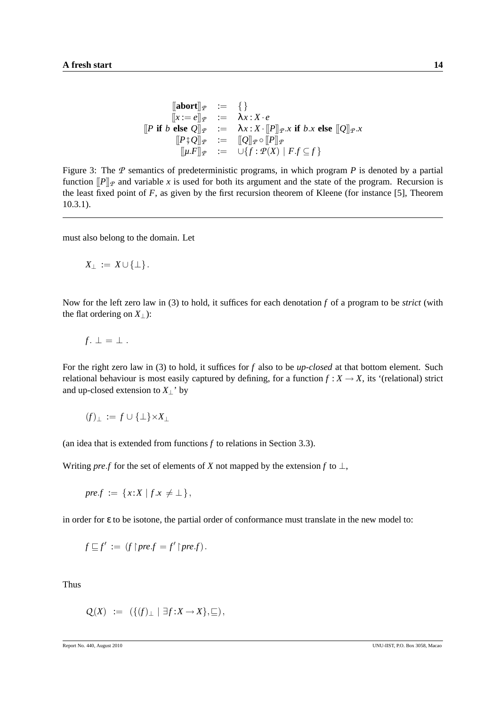$$
\begin{array}{rcl}\n[\text{abort}]\n_{\mathcal{P}} & := & \{\} \\
[\![x := e]\!]_{\mathcal{P}} & := & \lambda x : X \cdot e \\
[\![P \text{ if } b \text{ else } Q]\!]_{\mathcal{P}} & := & \lambda x : X \cdot [\![P]\!]_{\mathcal{P}} \cdot x \text{ if } b \cdot x \text{ else } [\![Q]\!]_{\mathcal{P}} \cdot x \\
[\![P \r{g} \r{g}]\!]_{\mathcal{P}} & := & [\![Q]\!]_{\mathcal{P}} \circ [\![P]\!]_{\mathcal{P}} \\
[\![u \cdot F]\!]_{\mathcal{P}} & := & \cup \{f : \mathcal{P}(X) \mid F \cdot f \subseteq f\}\n\end{array}
$$

Figure 3: The *P* semantics of predeterministic programs, in which program *P* is denoted by a partial function  $||P||_{\varphi}$  and variable *x* is used for both its argument and the state of the program. Recursion is the least fixed point of *F*, as given by the first recursion theorem of Kleene (for instance [5], Theorem 10.3.1).

must also belong to the domain. Let

$$
X_{\perp} := X \cup \{\perp\}.
$$

Now for the left zero law in (3) to hold, it suffices for each denotation *f* of a program to be *strict* (with the flat ordering on  $X_{\perp}$ ):

$$
f. \perp = \perp.
$$

For the right zero law in (3) to hold, it suffices for *f* also to be *up-closed* at that bottom element. Such relational behaviour is most easily captured by defining, for a function  $f : X \to X$ , its '(relational) strict and up-closed extension to *X*⊥' by

$$
(f)_{\perp} := f \cup \{\perp\} \times X_{\perp}
$$

(an idea that is extended from functions *f* to relations in Section 3.3).

Writing *pre*.*f* for the set of elements of *X* not mapped by the extension *f* to  $\perp$ ,

$$
pref := \{x:X \mid f.x \neq \bot\},\
$$

in order for ε to be isotone, the partial order of conformance must translate in the new model to:

$$
f \sqsubseteq f' := (f \upharpoonright pre.f = f' \upharpoonright pre.f).
$$

Thus

$$
Q(X) := (\{(f)_{\perp} \mid \exists f:X \to X\}, \sqsubseteq),
$$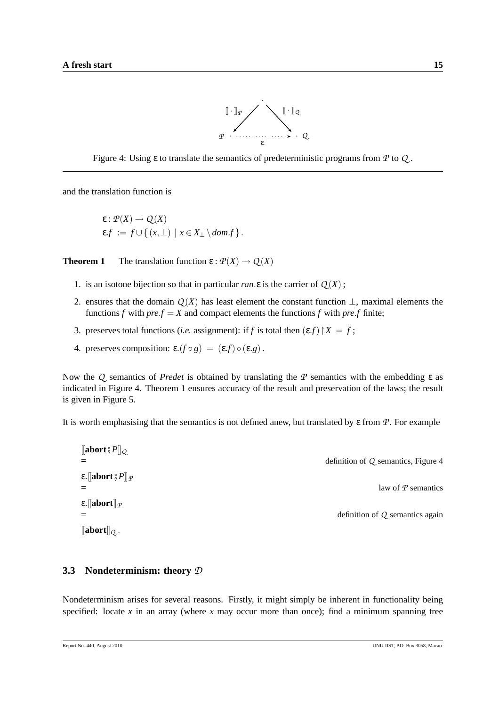

Figure 4: Using ε to translate the semantics of predeterministic programs from *P* to *Q* .

and the translation function is

$$
\varepsilon: \mathcal{P}(X) \to \mathcal{Q}(X)
$$
  

$$
\varepsilon f := f \cup \{ (x, \perp) \mid x \in X_{\perp} \setminus \text{dom} f \}.
$$

**Theorem 1** The translation function  $\varepsilon$  :  $P(X) \to Q(X)$ 

- 1. is an isotone bijection so that in particular *ran*.ε is the carrier of  $Q(X)$ ;
- 2. ensures that the domain  $Q(X)$  has least element the constant function  $\perp$ , maximal elements the functions *f* with  $pre.f = X$  and compact elements the functions *f* with *pref* finite;
- 3. preserves total functions (*i.e.* assignment): if *f* is total then  $(\varepsilon f) \upharpoonright X = f$ ;
- 4. preserves composition:  $\varepsilon$ . $(f \circ g) = (\varepsilon f) \circ (\varepsilon g)$ .

Now the *Q* semantics of *Predet* is obtained by translating the *P* semantics with the embedding ε as indicated in Figure 4. Theorem 1 ensures accuracy of the result and preservation of the laws; the result is given in Figure 5.

It is worth emphasising that the semantics is not defined anew, but translated by ε from *P*. For example

| $[\begin{bmatrix} \textbf{abort} \frac{\circ}{2} P \end{bmatrix}]_O$<br>$=$ | definition of $Q$ semantics, Figure 4 |
|-----------------------------------------------------------------------------|---------------------------------------|
| $\epsilon$ . [[abort $\frac{\alpha}{2}P$ ] $\frac{P}{2}$                    |                                       |
| $=$                                                                         | law of $P$ semantics                  |
| $\varepsilon$ . [[abort]] $\varphi$<br>$=$                                  | definition of $Q$ semantics again     |
| $[\begin{bmatrix} \mathbf{abort} \end{bmatrix}]_Q$ .                        |                                       |

#### **3.3 Nondeterminism: theory** *D*

Nondeterminism arises for several reasons. Firstly, it might simply be inherent in functionality being specified: locate  $x$  in an array (where  $x$  may occur more than once); find a minimum spanning tree

Report No. 440, August 2010 UNU-IIST, P.O. Box 3058, Macao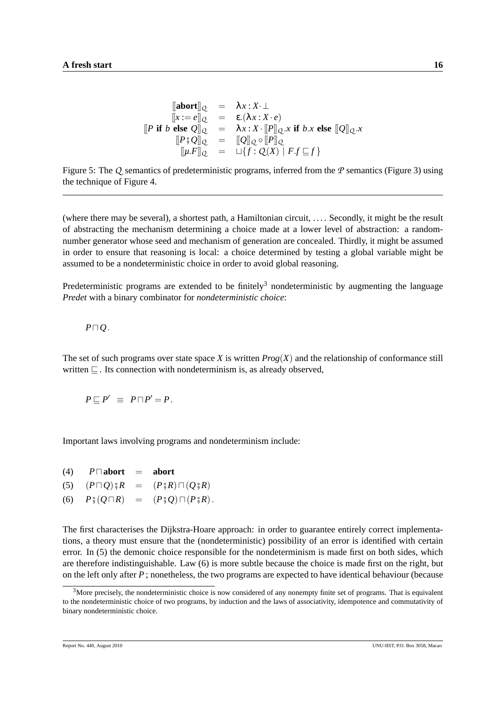$$
\begin{array}{rcl}\n[\text{abort}]\n_Q & = & \lambda x : X \cdot \bot \\
\llbracket x := e \rrbracket_Q & = & \varepsilon.(\lambda x : X \cdot e) \\
\llbracket P \text{ if } b \text{ else } Q \rrbracket_Q & = & \lambda x : X \cdot \llbracket P \rrbracket_Q . x \text{ if } b.x \text{ else } \llbracket Q \rrbracket_Q . x \\
\llbracket P \rbrack Q \rrbracket_Q & = & \llbracket Q \rrbracket_Q \circ \llbracket P \rrbracket_Q \\
\llbracket \mu.F \rrbracket_Q & = & \sqcup \{ f : Q(X) \mid F.f \sqsubseteq f \}\n\end{array}
$$

Figure 5: The *Q* semantics of predeterministic programs, inferred from the *P* semantics (Figure 3) using the technique of Figure 4.

(where there may be several), a shortest path, a Hamiltonian circuit, . . . . Secondly, it might be the result of abstracting the mechanism determining a choice made at a lower level of abstraction: a randomnumber generator whose seed and mechanism of generation are concealed. Thirdly, it might be assumed in order to ensure that reasoning is local: a choice determined by testing a global variable might be assumed to be a nondeterministic choice in order to avoid global reasoning.

Predeterministic programs are extended to be finitely<sup>3</sup> nondeterministic by augmenting the language *Predet* with a binary combinator for *nondeterministic choice*:

$$
P\sqcap Q.
$$

The set of such programs over state space *X* is written  $Prog(X)$  and the relationship of conformance still written  $\Box$ . Its connection with nondeterminism is, as already observed,

$$
P \sqsubseteq P' \equiv P \sqcap P' = P.
$$

Important laws involving programs and nondeterminism include:

| (4) | $P \Box$ abort |  | abort |  |
|-----|----------------|--|-------|--|
|-----|----------------|--|-------|--|

 $(P \sqcap Q)$ ;  $R = (P; R) \sqcap (Q; R)$ 

$$
(6) \quad P_{\vartheta}^{\circ}(Q \sqcap R) \quad = \quad (P_{\vartheta}^{\circ}Q) \sqcap (P_{\vartheta}^{\circ}R).
$$

The first characterises the Dijkstra-Hoare approach: in order to guarantee entirely correct implementations, a theory must ensure that the (nondeterministic) possibility of an error is identified with certain error. In (5) the demonic choice responsible for the nondeterminism is made first on both sides, which are therefore indistinguishable. Law (6) is more subtle because the choice is made first on the right, but on the left only after *P* ; nonetheless, the two programs are expected to have identical behaviour (because

Report No. 440, August 2010 UNU-IIST, P.O. Box 3058, Macao

 $3$ More precisely, the nondeterministic choice is now considered of any nonempty finite set of programs. That is equivalent to the nondeterministic choice of two programs, by induction and the laws of associativity, idempotence and commutativity of binary nondeterministic choice.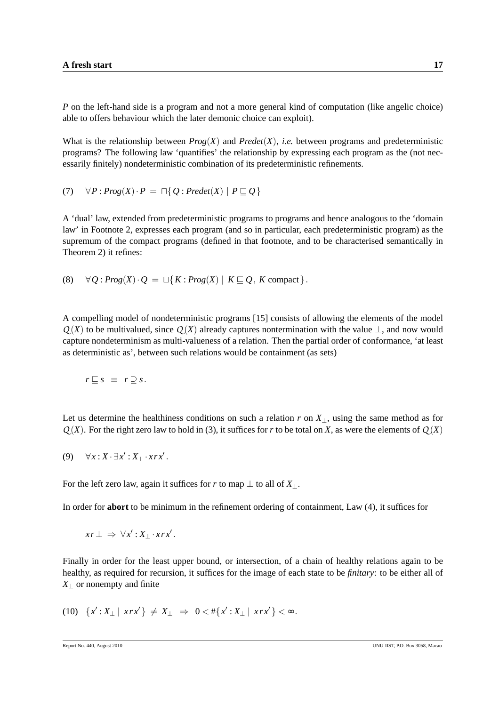*P* on the left-hand side is a program and not a more general kind of computation (like angelic choice) able to offers behaviour which the later demonic choice can exploit).

What is the relationship between  $Prog(X)$  and  $Predet(X)$ , *i.e.* between programs and predeterministic programs? The following law 'quantifies' the relationship by expressing each program as the (not necessarily finitely) nondeterministic combination of its predeterministic refinements.

(7) ∀*P* : *Prog*(*X*)·*P* = ⊓{*Q* : *Predet*(*X*) | *P* ⊑ *Q*}

A 'dual' law, extended from predeterministic programs to programs and hence analogous to the 'domain law' in Footnote 2, expresses each program (and so in particular, each predeterministic program) as the supremum of the compact programs (defined in that footnote, and to be characterised semantically in Theorem 2) it refines:

(8)  $\forall Q : Prog(X) \cdot Q = \sqcup \{ K : Prog(X) \mid K \sqsubseteq Q, K \text{ compact} \}.$ 

A compelling model of nondeterministic programs [15] consists of allowing the elements of the model  $Q(X)$  to be multivalued, since  $Q(X)$  already captures nontermination with the value  $\perp$ , and now would capture nondeterminism as multi-valueness of a relation. Then the partial order of conformance, 'at least as deterministic as', between such relations would be containment (as sets)

$$
r \sqsubseteq s \ \equiv \ r \supseteq s \, .
$$

Let us determine the healthiness conditions on such a relation  $r$  on  $X_{\perp}$ , using the same method as for  $Q(X)$ . For the right zero law to hold in (3), it suffices for *r* to be total on *X*, as were the elements of  $Q(X)$ 

$$
(9) \quad \forall x: X \cdot \exists x': X_{\perp} \cdot xrx'.
$$

For the left zero law, again it suffices for *r* to map  $\perp$  to all of  $X_{\perp}$ .

In order for **abort** to be minimum in the refinement ordering of containment, Law (4), it suffices for

$$
xr \perp \Rightarrow \forall x': X_{\perp} \cdot xrx'.
$$

Finally in order for the least upper bound, or intersection, of a chain of healthy relations again to be healthy, as required for recursion, it suffices for the image of each state to be *finitary*: to be either all of *X*<sup>⊥</sup> or nonempty and finite

$$
(10) \ \{x': X_\perp \mid xrx'\} \neq X_\perp \ \Rightarrow \ 0 < \#\{x': X_\perp \mid xrx'\} < \infty.
$$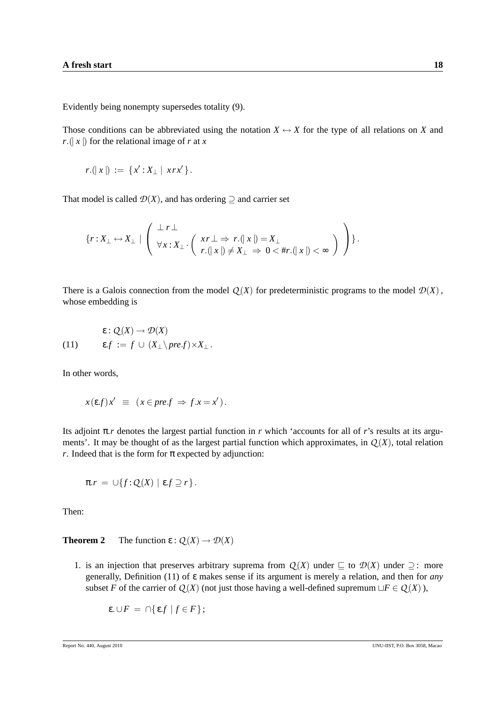Evidently being nonempty supersedes totality (9).

Those conditions can be abbreviated using the notation  $X \leftrightarrow X$  for the type of all relations on *X* and  $r$ .(| *x* |) for the relational image of *r* at *x* 

$$
r.(|x|) := \{x' : X_{\perp} | xrx'\}.
$$

That model is called  $\mathcal{D}(X)$ , and has ordering  $\supseteq$  and carrier set

$$
\{r:X_\perp\leftrightarrow X_\perp\;|\;\left(\begin{array}{c}\bot\; r\bot \\ \forall\,x:X_\perp\cdot\left(\begin{array}{c} xr\bot\Rightarrow\; r.(|\,x\,|)=X_\perp \\ r.(|\,x\,|)\neq X_\perp\Rightarrow\; 0<\#r.(|\,x\,|)<\infty\end{array}\right)\end{array}\right)\right\}.
$$

There is a Galois connection from the model  $Q(X)$  for predeterministic programs to the model  $\mathcal{D}(X)$ , whose embedding is

$$
\varepsilon: Q(X) \to \mathcal{D}(X)
$$
  
(11) 
$$
\varepsilon f := f \cup (X_{\perp} \backslash pref) \times X_{\perp}.
$$

In other words,

$$
x(\varepsilon f)x' \equiv (x \in pre \, f \Rightarrow f \, . x = x').
$$

Its adjoint π.*r* denotes the largest partial function in *r* which 'accounts for all of *r*'s results at its arguments'. It may be thought of as the largest partial function which approximates, in  $Q(X)$ , total relation *r*. Indeed that is the form for  $\pi$  expected by adjunction:

$$
\pi.r = \cup \{f : Q(X) \mid \varepsilon.f \supseteq r\}.
$$

Then:

#### **Theorem 2** The function  $\varepsilon$  :  $Q(X) \to \mathcal{D}(X)$

1. is an injection that preserves arbitrary suprema from  $Q(X)$  under ⊆ to  $D(X)$  under ⊇ : more generally, Definition (11) of ε makes sense if its argument is merely a relation, and then for *any* subset *F* of the carrier of  $Q(X)$  (not just those having a well-defined supremum  $\sqcup F \in Q(X)$ ),

$$
\varepsilon.\cup F = \cap \{\varepsilon f \mid f \in F\};
$$

Report No. 440, August 2010 UNU-IIST, P.O. Box 3058, Macao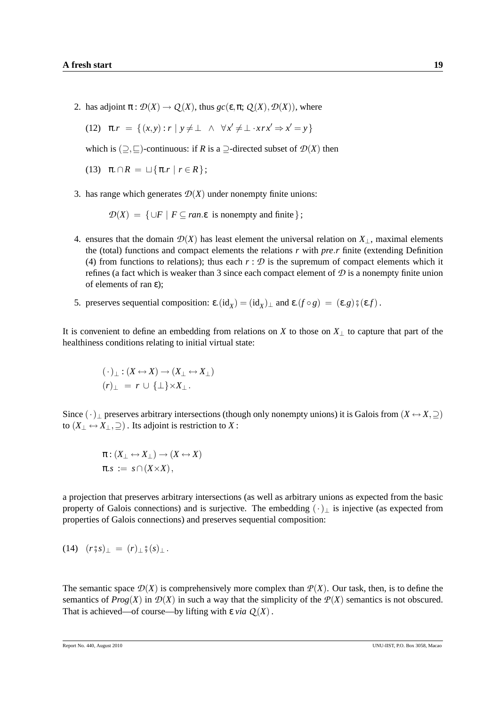2. has adjoint  $\pi : \mathcal{D}(X) \to \mathcal{Q}(X)$ , thus  $\text{gc}(\varepsilon, \pi; \mathcal{Q}(X), \mathcal{D}(X))$ , where

(12) 
$$
\pi \cdot r = \{(x, y) : r \mid y \neq \bot \land \forall x' \neq \bot \cdot x \cdot r x' \Rightarrow x' = y\}
$$

which is  $(2, \subseteq)$ -continuous: if *R* is a 2-directed subset of  $\mathcal{D}(X)$  then

- (13)  $\pi \cap R = \sqcup \{\pi \cap r \mid r \in R\};$
- 3. has range which generates  $\mathcal{D}(X)$  under nonempty finite unions:

$$
\mathcal{D}(X) = \{ \cup F \mid F \subseteq \text{ran}.\varepsilon \text{ is nonempty and finite } \};
$$

- 4. ensures that the domain  $\mathcal{D}(X)$  has least element the universal relation on  $X_{\perp}$ , maximal elements the (total) functions and compact elements the relations *r* with *pre*.*r* finite (extending Definition (4) from functions to relations); thus each  $r : \mathcal{D}$  is the supremum of compact elements which it refines (a fact which is weaker than 3 since each compact element of *D* is a nonempty finite union of elements of ran ε);
- 5. preserves sequential composition:  $\varepsilon$ .(id<sub>*X*</sub>) = (id<sub>*X*</sub>)<sub> $\perp$ </sub> and  $\varepsilon$ .(*f*  $\circ$ *g*) = ( $\varepsilon$ .*g*) $\frac{\circ}{2}(\varepsilon f)$ .

It is convenient to define an embedding from relations on *X* to those on *X*<sup>⊥</sup> to capture that part of the healthiness conditions relating to initial virtual state:

$$
(\cdot)_{\perp} : (X \leftrightarrow X) \to (X_{\perp} \leftrightarrow X_{\perp})
$$

$$
(r)_{\perp} = r \cup {\perp} \times X_{\perp}.
$$

Since  $(\cdot)_\perp$  preserves arbitrary intersections (though only nonempty unions) it is Galois from  $(X \leftrightarrow X, \supseteq)$ to  $(X_\perp \leftrightarrow X_\perp, \supseteq)$ . Its adjoint is restriction to *X* :

$$
\pi: (X_{\perp} \leftrightarrow X_{\perp}) \to (X \leftrightarrow X)
$$
  

$$
\pi \cdot s := s \cap (X \times X),
$$

a projection that preserves arbitrary intersections (as well as arbitrary unions as expected from the basic property of Galois connections) and is surjective. The embedding  $(\cdot)_\perp$  is injective (as expected from properties of Galois connections) and preserves sequential composition:

$$
(14) (r\hat{g}s)_{\perp} = (r)_{\perp} \hat{g}(s)_{\perp}.
$$

The semantic space  $\mathcal{D}(X)$  is comprehensively more complex than  $\mathcal{P}(X)$ . Our task, then, is to define the semantics of *Prog*(*X*) in  $\mathcal{D}(X)$  in such a way that the simplicity of the  $\mathcal{P}(X)$  semantics is not obscured. That is achieved—of course—by lifting with  $\varepsilon$  *via*  $Q(X)$ .

Report No. 440, August 2010 UNU-IIST, P.O. Box 3058, Macao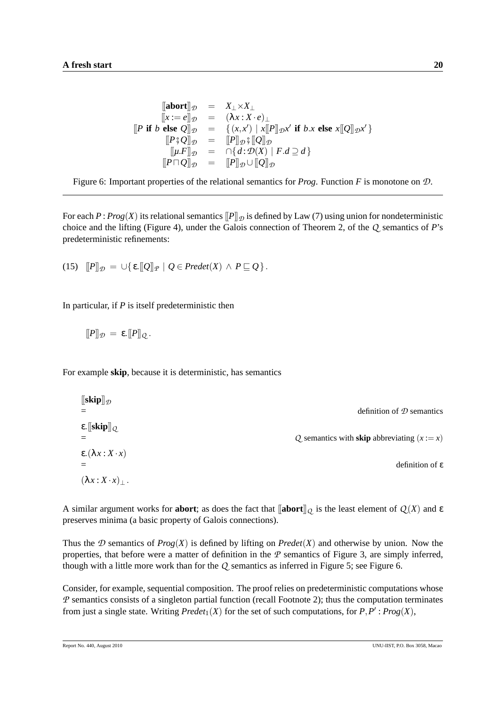$$
\begin{array}{rcl}\n[\text{abort}]_{\mathcal{D}} & = & X_{\perp} \times X_{\perp} \\
[\![x := e]\!]_{\mathcal{D}} & = & (\lambda x : X \cdot e)_{\perp} \\
[\![P \text{ if } b \text{ else } Q]\!]_{\mathcal{D}} & = & \{(x, x') \mid x[[P]]_{\mathcal{D}} x' \text{ if } b.x \text{ else } x[[Q]]_{\mathcal{D}} x'\} \\
[\![P \hat{y} Q]\!]_{\mathcal{D}} & = & [[P]]_{\mathcal{D}} \hat{y}[[Q]]_{\mathcal{D}} \\
[\![\![\mu.F]\!]_{\mathcal{D}} & = & \cap \{d : \mathcal{D}(X) \mid F.d \supseteq d\} \\
[\![P \cap Q]\!]_{\mathcal{D}} & = & [[P]]_{\mathcal{D}} \cup [[Q]]_{\mathcal{D}}\n\end{array}
$$

Figure 6: Important properties of the relational semantics for *Prog*. Function *F* is monotone on *D*.

For each  $P$  :  $Prog(X)$  its relational semantics  $[|P|\]_{\mathcal{D}}$  is defined by Law (7) using union for nondeterministic choice and the lifting (Figure 4), under the Galois connection of Theorem 2, of the *Q* semantics of *P*'s predeterministic refinements:

(15) 
$$
[[P]]_{\mathcal{D}} = \cup \{ \varepsilon. [[Q]]_{\mathcal{P}} \mid Q \in \text{Predet}(X) \land P \sqsubseteq Q \}.
$$

In particular, if *P* is itself predeterministic then

$$
[[P]]_{\mathcal{D}} = \varepsilon \cdot [[P]]_{Q}.
$$

For example **skip**, because it is deterministic, has semantics

| $\llbracket \textbf{skip} \rrbracket_{\mathcal{D}}$ |                                                      |
|-----------------------------------------------------|------------------------------------------------------|
| $=$                                                 | definition of $D$ semantics                          |
| $\varepsilon$ . [skip] $_{Q}$<br>$=$                | Q semantics with <b>skip</b> abbreviating $(x := x)$ |
| $\epsilon.(\lambda x:X\cdot x)$                     |                                                      |
| $=$                                                 | definition of $\varepsilon$                          |
| $(\lambda x:X\cdot x)_{\perp}$ .                    |                                                      |

A similar argument works for **abort**; as does the fact that  $\|\textbf{abort}\|_0$  is the least element of  $Q(X)$  and  $\varepsilon$ preserves minima (a basic property of Galois connections).

Thus the *D* semantics of  $Prog(X)$  is defined by lifting on  $Predet(X)$  and otherwise by union. Now the properties, that before were a matter of definition in the *P* semantics of Figure 3, are simply inferred, though with a little more work than for the *Q* semantics as inferred in Figure 5; see Figure 6.

Consider, for example, sequential composition. The proof relies on predeterministic computations whose *P* semantics consists of a singleton partial function (recall Footnote 2); thus the computation terminates from just a single state. Writing  $Predet_1(X)$  for the set of such computations, for  $P, P' : Prog(X)$ ,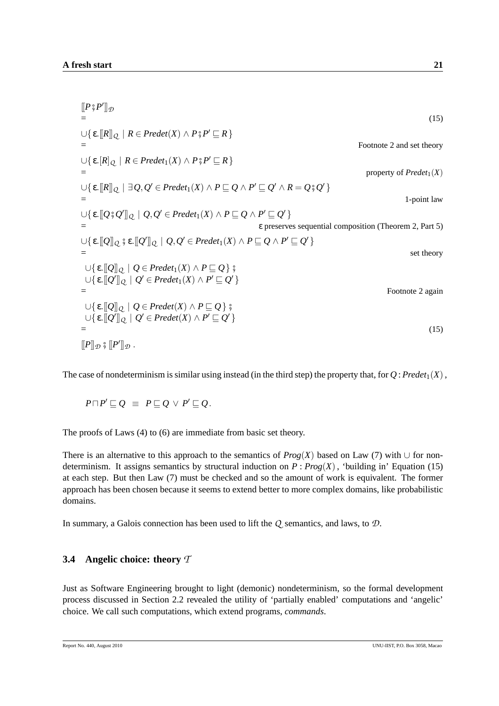$\llbracket P$   $\frac{8}{9}P' \rrbracket_{\mathcal{D}}$  $=$  (15)  $\cup$ {**ε.**[[R]]<sub>Q</sub> | R ∈ Predet(X) ∧ P  $\varsigma$  P'  $\sqsubseteq$  R } Footnote 2 and set theory  $∪{ε.[R]}_{Q}$  |  $R ∈ Predet_1(X) ∧ P$ ;<sup>°</sup> $P' ⊆ R}$ property of  $Predet_1(X)$  $\cup$ {ε.[[R]]<sub>Q</sub> | ∃Q,Q' ∈ Predet<sub>1</sub>(X) ∧ P ⊑ Q ∧ P' ⊑ Q' ∧ R = Q  $\circ$ ,Q' }  $=$  1-point law  $\cup$ {ε.[[Q<sup>°</sup>,Q']]<sub>Q</sub> | Q,Q' ∈ Predet<sub>1</sub>(X) ∧ P ⊆ Q ∧ P' ⊆ Q' }  $\varepsilon$  preserves sequential composition (Theorem 2, Part 5)  $\cup$  {ε.[[Q]]<sub>Q</sub>,  $\Im$  ε.[[Q']]<sub>Q</sub>, | Q, Q' ∈ Predet<sub>1</sub>(X) ∧ P ⊑ Q ∧ P' ⊑ Q' }  $=$  set theory  $\cup$ {ε.[[*Q*]]<sub>*Q*</sub> | *Q* ∈ *Predet*<sub>1</sub>(*X*) ∧ *P* ⊆ *Q* } \$  $\cup$ {ε.[[Q']]<sub>Q</sub> | Q' ∈ Predet<sub>1</sub>(X) ∧ P' ⊆ Q' }  $=$  Footnote 2 again  $\cup$ {ε.[[Q]<sub>|Q</sub> | Q ∈ Predet(X) ∧ P ⊑ Q }  $\frac{\circ}{2}$  $\cup$ {ε.[[Q']]<sub>Q</sub> | Q' ∈ Predet(X) ∧ P' ⊆ Q' }  $=$  (15)  $[[P]]_{\mathcal{D}}$   $\stackrel{\circ}{,} [ [P']]_{\mathcal{D}}$ .

The case of nondeterminism is similar using instead (in the third step) the property that, for  $Q$ : *Predet*<sub>1</sub>(*X*),

$$
P \sqcap P' \sqsubseteq Q \equiv P \sqsubseteq Q \vee P' \sqsubseteq Q.
$$

The proofs of Laws (4) to (6) are immediate from basic set theory.

There is an alternative to this approach to the semantics of  $Prog(X)$  based on Law (7) with ∪ for nondeterminism. It assigns semantics by structural induction on  $P$ :  $Prog(X)$ , 'building in' Equation (15) at each step. But then Law (7) must be checked and so the amount of work is equivalent. The former approach has been chosen because it seems to extend better to more complex domains, like probabilistic domains.

In summary, a Galois connection has been used to lift the *Q* semantics, and laws, to *D*.

#### **3.4 Angelic choice: theory** *T*

Just as Software Engineering brought to light (demonic) nondeterminism, so the formal development process discussed in Section 2.2 revealed the utility of 'partially enabled' computations and 'angelic' choice. We call such computations, which extend programs, *commands*.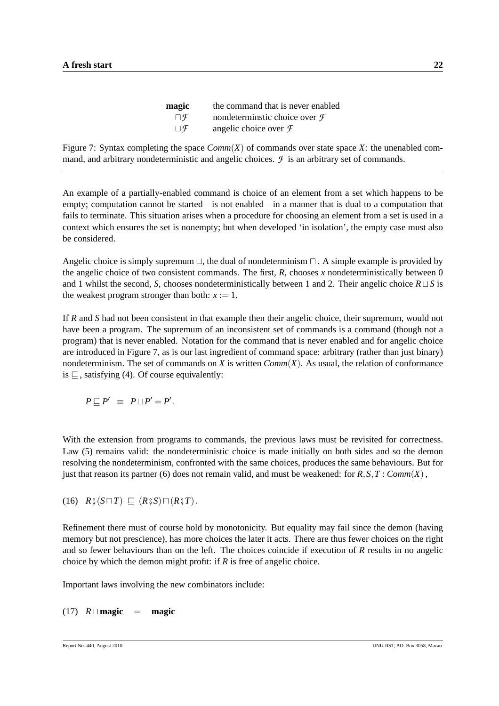| magic                | the command that is never enabled        |
|----------------------|------------------------------------------|
| $\Box \mathcal{F}$   | nondeterminatic choice over $\mathcal F$ |
| $\sqcup \mathcal{F}$ | angelic choice over $\mathcal F$         |

Figure 7: Syntax completing the space *Comm*(*X*) of commands over state space *X*: the unenabled command, and arbitrary nondeterministic and angelic choices.  $\mathcal F$  is an arbitrary set of commands.

An example of a partially-enabled command is choice of an element from a set which happens to be empty; computation cannot be started—is not enabled—in a manner that is dual to a computation that fails to terminate. This situation arises when a procedure for choosing an element from a set is used in a context which ensures the set is nonempty; but when developed 'in isolation', the empty case must also be considered.

Angelic choice is simply supremum  $\sqcup$ , the dual of nondeterminism  $\sqcap$ . A simple example is provided by the angelic choice of two consistent commands. The first, *R*, chooses *x* nondeterministically between 0 and 1 whilst the second, *S*, chooses nondeterministically between 1 and 2. Their angelic choice *R*⊔*S* is the weakest program stronger than both:  $x := 1$ .

If *R* and *S* had not been consistent in that example then their angelic choice, their supremum, would not have been a program. The supremum of an inconsistent set of commands is a command (though not a program) that is never enabled. Notation for the command that is never enabled and for angelic choice are introduced in Figure 7, as is our last ingredient of command space: arbitrary (rather than just binary) nondeterminism. The set of commands on *X* is written *Comm(X)*. As usual, the relation of conformance is  $⊑$ , satisfying (4). Of course equivalently:

$$
P\sqsubseteq P'\ \equiv\ P\sqcup P'=P'.
$$

With the extension from programs to commands, the previous laws must be revisited for correctness. Law (5) remains valid: the nondeterministic choice is made initially on both sides and so the demon resolving the nondeterminism, confronted with the same choices, produces the same behaviours. But for just that reason its partner (6) does not remain valid, and must be weakened: for  $R, S, T$ :  $Comm(X)$ ,

(16) 
$$
R_{\vartheta}^{\circ}(S \sqcap T) \sqsubseteq (R_{\vartheta}^{\circ}S) \sqcap (R_{\vartheta}^{\circ}T)
$$
.

Refinement there must of course hold by monotonicity. But equality may fail since the demon (having memory but not prescience), has more choices the later it acts. There are thus fewer choices on the right and so fewer behaviours than on the left. The choices coincide if execution of *R* results in no angelic choice by which the demon might profit: if *R* is free of angelic choice.

Important laws involving the new combinators include:

$$
(17) \quad R \sqcup \text{magic} \quad = \quad \text{magic}
$$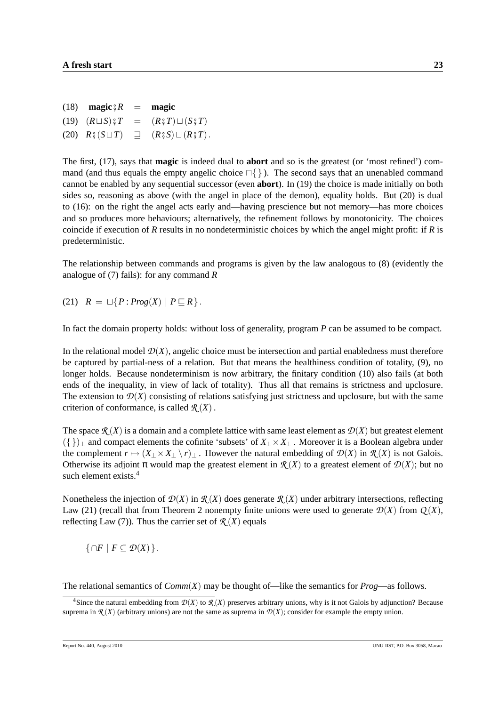| $(18)$ magic $\frac{8}{9}R$ | $=$ magic                                                                                                             |
|-----------------------------|-----------------------------------------------------------------------------------------------------------------------|
| $(19)$ $(R\sqcup S)$ ; $T$  | $= (R \hat{S} T) \sqcup (S \hat{S} T)$                                                                                |
|                             | $(20)$ $R_{\vartheta}^{\circ}(S \sqcup T)$ $\sqsupseteq$ $(R_{\vartheta}^{\circ}S) \sqcup (R_{\vartheta}^{\circ}T)$ . |

The first, (17), says that **magic** is indeed dual to **abort** and so is the greatest (or 'most refined') command (and thus equals the empty angelic choice  $\Box\{\}\)$ ). The second says that an unenabled command cannot be enabled by any sequential successor (even **abort**). In (19) the choice is made initially on both sides so, reasoning as above (with the angel in place of the demon), equality holds. But (20) is dual to (16): on the right the angel acts early and—having prescience but not memory—has more choices and so produces more behaviours; alternatively, the refinement follows by monotonicity. The choices coincide if execution of *R* results in no nondeterministic choices by which the angel might profit: if *R* is predeterministic.

The relationship between commands and programs is given by the law analogous to (8) (evidently the analogue of (7) fails): for any command *R*

(21)  $R = \Box \{ P : Prog(X) | P \sqsubseteq R \}.$ 

In fact the domain property holds: without loss of generality, program *P* can be assumed to be compact.

In the relational model  $\mathcal{D}(X)$ , angelic choice must be intersection and partial enabledness must therefore be captured by partial-ness of a relation. But that means the healthiness condition of totality, (9), no longer holds. Because nondeterminism is now arbitrary, the finitary condition (10) also fails (at both ends of the inequality, in view of lack of totality). Thus all that remains is strictness and upclosure. The extension to  $\mathcal{D}(X)$  consisting of relations satisfying just strictness and upclosure, but with the same criterion of conformance, is called *R* (*X*).

The space  $\mathcal{R}(X)$  is a domain and a complete lattice with same least element as  $\mathcal{D}(X)$  but greatest element ({ })<sup>⊥</sup> and compact elements the cofinite 'subsets' of *X*⊥×*X*<sup>⊥</sup> . Moreover it is a Boolean algebra under the complement  $r \mapsto (X_\perp \times X_\perp \setminus r)_\perp$ . However the natural embedding of  $\mathcal{D}(X)$  in  $\mathcal{R}(X)$  is not Galois. Otherwise its adjoint  $\pi$  would map the greatest element in  $\mathcal{R}(X)$  to a greatest element of  $\mathcal{D}(X)$ ; but no such element exists.<sup>4</sup>

Nonetheless the injection of  $\mathcal{D}(X)$  in  $\mathcal{R}(X)$  does generate  $\mathcal{R}(X)$  under arbitrary intersections, reflecting Law (21) (recall that from Theorem 2 nonempty finite unions were used to generate  $\mathcal{D}(X)$  from  $\mathcal{O}(X)$ , reflecting Law (7)). Thus the carrier set of  $\mathcal{R}(X)$  equals

$$
\{\cap F \mid F \subseteq \mathcal{D}(X)\}.
$$

The relational semantics of *Comm*(*X*) may be thought of—like the semantics for *Prog*—as follows.

<sup>&</sup>lt;sup>4</sup>Since the natural embedding from  $\mathcal{D}(X)$  to  $\mathcal{R}(X)$  preserves arbitrary unions, why is it not Galois by adjunction? Because suprema in  $\mathcal{R}(X)$  (arbitrary unions) are not the same as suprema in  $\mathcal{D}(X)$ ; consider for example the empty union.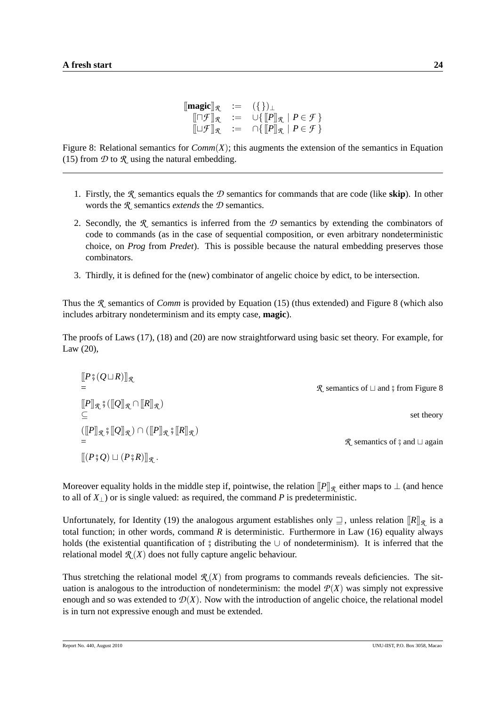$$
\begin{array}{rcl}\n[\text{magic}]_{\mathcal{R}} & := & (\{\})_{\perp} \\
\llbracket \Box \mathcal{F} \rrbracket_{\mathcal{R}} & := & \cup \{\llbracket P \rrbracket_{\mathcal{R}} \mid P \in \mathcal{F}\} \\
\llbracket \Box \mathcal{F} \rrbracket_{\mathcal{R}} & := & \cap \{\llbracket P \rrbracket_{\mathcal{R}} \mid P \in \mathcal{F}\}\n\end{array}
$$

Figure 8: Relational semantics for  $Comm(X)$ ; this augments the extension of the semantics in Equation (15) from  $D$  to  $R$  using the natural embedding.

- 1. Firstly, the *R* semantics equals the *D* semantics for commands that are code (like **skip**). In other words the *R* semantics *extends* the *D* semantics.
- 2. Secondly, the *R* semantics is inferred from the *D* semantics by extending the combinators of code to commands (as in the case of sequential composition, or even arbitrary nondeterministic choice, on *Prog* from *Predet*). This is possible because the natural embedding preserves those combinators.
- 3. Thirdly, it is defined for the (new) combinator of angelic choice by edict, to be intersection.

Thus the *R* semantics of *Comm* is provided by Equation (15) (thus extended) and Figure 8 (which also includes arbitrary nondeterminism and its empty case, **magic**).

The proofs of Laws (17), (18) and (20) are now straightforward using basic set theory. For example, for Law (20),

$$
\begin{aligned}\n\llbracket P_{\vartheta}^{\circ}(\mathcal{Q} \sqcup R) \rrbracket_{\mathcal{R}} \\
&= \\
\llbracket P \rrbracket_{\mathcal{R}}^{\circ}(\llbracket \mathcal{Q} \rrbracket_{\mathcal{R}} \cap \llbracket R \rrbracket_{\mathcal{R}}) \\
&\subseteq \\
(\llbracket P \rrbracket_{\mathcal{R}}^{\circ} \llbracket \mathcal{Q} \rrbracket_{\mathcal{R}}) \cap (\llbracket P \rrbracket_{\mathcal{R}}^{\circ} \llbracket R \rrbracket_{\mathcal{R}}) \\
&= \\
&\mathcal{R} \text{ semantics of } \vartheta \text{ and } \sqcup \text{ again} \\
\llbracket (P_{\vartheta}^{\circ} \mathcal{Q}) \sqcup (P_{\vartheta}^{\circ} R) \rrbracket_{\mathcal{R}}.\n\end{aligned}
$$

Moreover equality holds in the middle step if, pointwise, the relation  $||P||_R$  either maps to  $\perp$  (and hence to all of  $X_{\perp}$ ) or is single valued: as required, the command *P* is predeterministic.

Unfortunately, for Identity (19) the analogous argument establishes only  $\exists$ , unless relation  $[[R]]_{\mathcal{R}}$  is a total function; in other words, command *R* is deterministic. Furthermore in Law (16) equality always holds (the existential quantification of  $\frac{1}{9}$  distributing the ∪ of nondeterminism). It is inferred that the relational model  $\mathcal{R}(X)$  does not fully capture angelic behaviour.

Thus stretching the relational model  $R(X)$  from programs to commands reveals deficiencies. The situation is analogous to the introduction of nondeterminism: the model  $P(X)$  was simply not expressive enough and so was extended to  $\mathcal{D}(X)$ . Now with the introduction of angelic choice, the relational model is in turn not expressive enough and must be extended.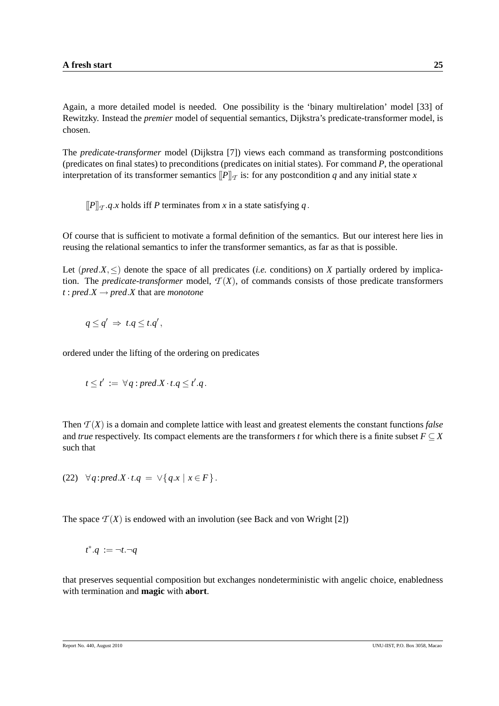Again, a more detailed model is needed. One possibility is the 'binary multirelation' model [33] of Rewitzky. Instead the *premier* model of sequential semantics, Dijkstra's predicate-transformer model, is chosen.

The *predicate-transformer* model (Dijkstra [7]) views each command as transforming postconditions (predicates on final states) to preconditions (predicates on initial states). For command *P*, the operational interpretation of its transformer semantics  $\llbracket P \rrbracket_T$  is: for any postcondition *q* and any initial state *x* 

 $[[P]]_T . q.x$  holds iff *P* terminates from *x* in a state satisfying *q*.

Of course that is sufficient to motivate a formal definition of the semantics. But our interest here lies in reusing the relational semantics to infer the transformer semantics, as far as that is possible.

Let  $(pred.X, \leq)$  denote the space of all predicates (*i.e.* conditions) on *X* partially ordered by implication. The *predicate-transformer* model,  $T(X)$ , of commands consists of those predicate transformers  $t: pred.X \rightarrow pred.X$  that are *monotone* 

$$
q \le q' \Rightarrow t.q \le t.q',
$$

ordered under the lifting of the ordering on predicates

$$
t \leq t' := \forall q : pred.X \cdot t.q \leq t'.q.
$$

Then *T* (*X*) is a domain and complete lattice with least and greatest elements the constant functions *false* and *true* respectively. Its compact elements are the transformers *t* for which there is a finite subset  $F \subseteq X$ such that

(22) 
$$
\forall q: pred.X \cdot t.q = \vee \{q.x \mid x \in F\}.
$$

The space  $T(X)$  is endowed with an involution (see Back and von Wright [2])

$$
t^*.q := \neg t.\neg q
$$

that preserves sequential composition but exchanges nondeterministic with angelic choice, enabledness with termination and **magic** with **abort**.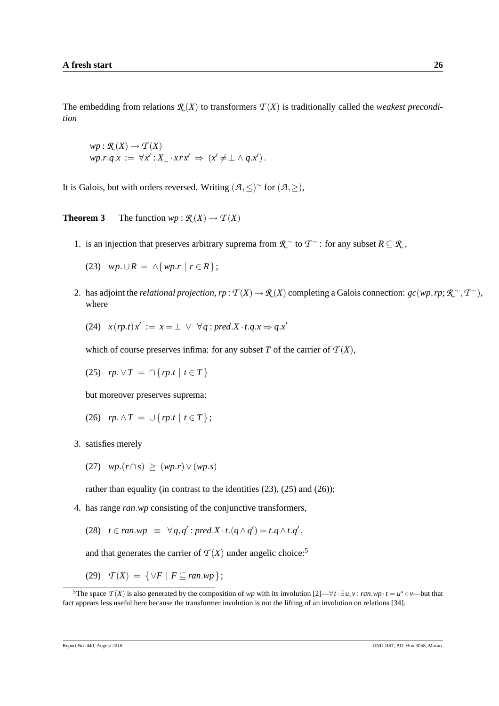The embedding from relations  $\mathcal{R}(X)$  to transformers  $\mathcal{T}(X)$  is traditionally called the *weakest precondition*

$$
wp: \mathcal{R}(X) \to \mathcal{T}(X)
$$
  
wp.r.q.x :=  $\forall x' : X_{\perp} \cdot xrx' \Rightarrow (x' \neq \perp \wedge q.x').$ 

It is Galois, but with orders reversed. Writing  $(A, \leq)$ <sup>~</sup> for  $(A, \geq)$ ,

**Theorem 3** The function  $wp : \mathcal{R}(X) \to \mathcal{T}(X)$ 

1. is an injection that preserves arbitrary suprema from  $\mathcal{R}^{\sim}$  to  $\mathcal{T}^{\sim}$ : for any subset  $R \subseteq \mathcal{R}$ ,

$$
(23) \quad wp. \cup R = \land \{ wp.r \mid r \in R \};
$$

2. has adjoint the *relational projection*,  $rp: T(X) \to R(X)$  completing a Galois connection:  $gc(wp, rp; \mathcal{R}^{\sim}, T^{\sim})$ , where

(24) 
$$
x (rp.t)x' := x = \bot \lor \forall q : pred.X \cdot t.q.x \Rightarrow q.x'
$$

which of course preserves infima: for any subset *T* of the carrier of  $T(X)$ ,

(25) *rp*.  $\lor$  *T* = ∩{*rp*.*t* | *t* ∈ *T*}

but moreover preserves suprema:

$$
(26) \quad rp. \land T = \cup \{ rp. t \mid t \in T \};
$$

3. satisfies merely

(27) *wp*.(*r*∩*s*) ≥ (*wp*.*r*)∨(*wp*.*s*)

rather than equality (in contrast to the identities  $(23)$ ,  $(25)$  and  $(26)$ );

4. has range *ran*.*wp* consisting of the conjunctive transformers,

(28) 
$$
t \in ran. wp \equiv \forall q, q': pred.X \cdot t.(q \land q') = t.q \land t.q',
$$

and that generates the carrier of  $T(X)$  under angelic choice:<sup>5</sup>

 $(29)$   $\mathcal{T}(X) = \{ \forall F \mid F \subseteq ran.\textit{wp} \};$ 

<sup>&</sup>lt;sup>5</sup>The space  $\mathcal{T}(X)$  is also generated by the composition of *wp* with its involution [2]— $\forall t \cdot \exists u, v : ran.wp \cdot t = u^* \circ v$ —but that fact appears less useful here because the transformer involution is not the lifting of an involution on relations [34].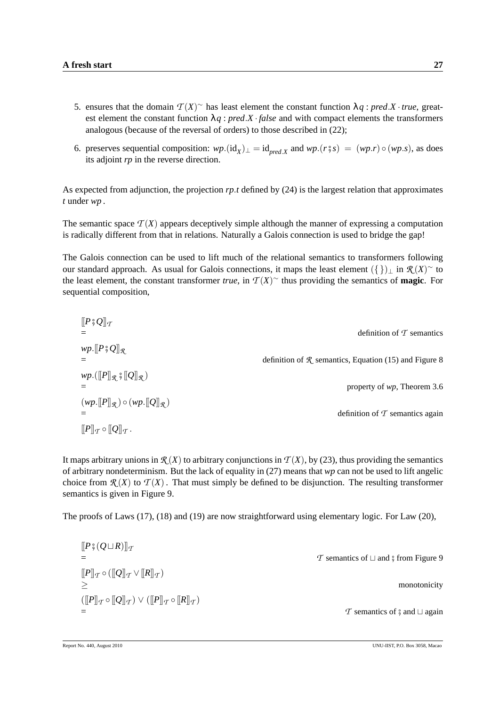- 5. ensures that the domain  $T(X)$ <sup>∼</sup> has least element the constant function  $\lambda q$ : *pred.X* · *true*, greatest element the constant function  $\lambda q$  : *pred*.*X* · *false* and with compact elements the transformers analogous (because of the reversal of orders) to those described in (22);
- 6. preserves sequential composition:  $wp.(id_X)_{\perp} = id_{pred.X}$  and  $wp.(r \, \hat{s} \, s) = (wp.r) \circ (wp.s)$ , as does its adjoint *rp* in the reverse direction.

As expected from adjunction, the projection *rp*.*t* defined by (24) is the largest relation that approximates *t* under *wp* .

The semantic space  $T(X)$  appears deceptively simple although the manner of expressing a computation is radically different from that in relations. Naturally a Galois connection is used to bridge the gap!

The Galois connection can be used to lift much of the relational semantics to transformers following our standard approach. As usual for Galois connections, it maps the least element  $(\{\})_{\perp}$  in  $\mathcal{R}(X)$ <sup>~</sup> to the least element, the constant transformer *true*, in  $T(X)$ <sup>∼</sup> thus providing the semantics of **magic**. For sequential composition,

| $[$ <sup>P</sup> $\circ$ $Q$ <sup>T</sup> $\sigma$  |                                                                   |
|-----------------------------------------------------|-------------------------------------------------------------------|
| $=$                                                 | definition of $\mathcal T$ semantics                              |
| $wp.$ $[$ P $\frac{\circ}{2}Q$ $]$ <sub>R</sub>     | definition of $\mathcal{R}$ semantics, Equation (15) and Figure 8 |
| $wp.([\![P]\!]_R \mathcal{G}[[Q]\!]_R)$<br>$\equiv$ | property of $wp$ , Theorem 3.6                                    |
| $(wp.[[P]]_R) \circ (wp.[[Q]]_R)$                   | definition of $\mathcal T$ semantics again                        |
| $[[P]]_T \circ [[Q]]_T.$                            |                                                                   |

It maps arbitrary unions in  $\mathcal{R}(X)$  to arbitrary conjunctions in  $\mathcal{T}(X)$ , by (23), thus providing the semantics of arbitrary nondeterminism. But the lack of equality in (27) means that *wp* can not be used to lift angelic choice from  $\mathcal{R}(X)$  to  $\mathcal{T}(X)$ . That must simply be defined to be disjunction. The resulting transformer semantics is given in Figure 9.

The proofs of Laws (17), (18) and (19) are now straightforward using elementary logic. For Law (20),

| $[$ [P $\frac{6}{9}(Q \sqcup R)]$ ] $\tau$                                                                             | T semantics of $\sqcup$ and $\frac{1}{2}$ from Figure 9 |
|------------------------------------------------------------------------------------------------------------------------|---------------------------------------------------------|
| $[ [P]_T \circ ( [Q]_T \vee [R]_T)$                                                                                    | monotonicity                                            |
| $([\![P]\!]_{\mathcal{T}} \circ [\![Q]\!]_{\mathcal{T}}) \vee ([\![P]\!]_{\mathcal{T}} \circ [\![R]\!]_{\mathcal{T}})$ | T semantics of $\hat{S}$ and $\Box$ again               |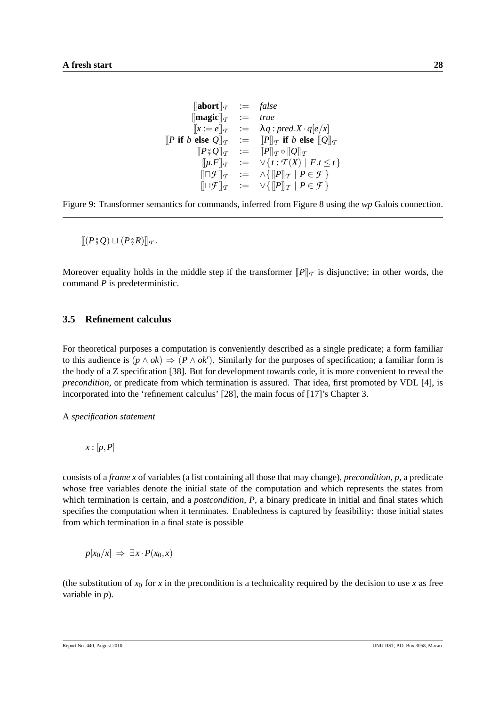$$
\begin{array}{rcl}\n[\text{abort}]\n_{\mathcal{T}} & := & false \\
[\text{magic}]\n_{\mathcal{T}} & := & true \\
\begin{aligned}\n[x := e] \n_{\mathcal{T}} & := & \lambda q : pred.X \cdot q[e/x] \\
\end{aligned}\n\end{array}
$$
\n
$$
\begin{array}{rcl}\n[P \text{ if } b \text{ else } Q]\n_{\mathcal{T}} & := & [P] \n_{\mathcal{T}} \text{ if } b \text{ else } [Q] \n_{\mathcal{T}} \\
[\![P \rceil g Q]\n_{\mathcal{T}} & := & [P] \n_{\mathcal{T}} \circ [Q] \n_{\mathcal{T}} \\
[\![wF]\n_{\mathcal{T}} & := & \vee \{t : \mathcal{T}(X) \mid F.t \leq t\} \\
[\![\top \mathcal{T}]\n_{\mathcal{T}} & := & \wedge \{[P] \n_{\mathcal{T}} \mid P \in \mathcal{T}\} \\
[\![\bot \mathcal{T}]\n_{\mathcal{T}} & := & \vee \{[P] \n_{\mathcal{T}} \mid P \in \mathcal{T}\}\n\end{array}
$$

Figure 9: Transformer semantics for commands, inferred from Figure 8 using the *wp* Galois connection.

 $[[ (P \circ Q) \sqcup (P \circ R)]]_T$ .

Moreover equality holds in the middle step if the transformer  $[|P]$ <sub>*T*</sub> is disjunctive; in other words, the command *P* is predeterministic.

#### **3.5 Refinement calculus**

For theoretical purposes a computation is conveniently described as a single predicate; a form familiar to this audience is  $(p \wedge ok) \Rightarrow (P \wedge ok')$ . Similarly for the purposes of specification; a familiar form is the body of a Z specification [38]. But for development towards code, it is more convenient to reveal the *precondition*, or predicate from which termination is assured. That idea, first promoted by VDL [4], is incorporated into the 'refinement calculus' [28], the main focus of [17]'s Chapter 3.

A *specification statement*

$$
x:[p,P]
$$

consists of a *frame x* of variables (a list containing all those that may change), *precondition*, *p*, a predicate whose free variables denote the initial state of the computation and which represents the states from which termination is certain, and a *postcondition*, *P*, a binary predicate in initial and final states which specifies the computation when it terminates. Enabledness is captured by feasibility: those initial states from which termination in a final state is possible

$$
p[x_0/x] \Rightarrow \exists x \cdot P(x_0,x)
$$

(the substitution of  $x_0$  for x in the precondition is a technicality required by the decision to use x as free variable in *p*).

Report No. 440, August 2010 UNU-IIST, P.O. Box 3058, Macao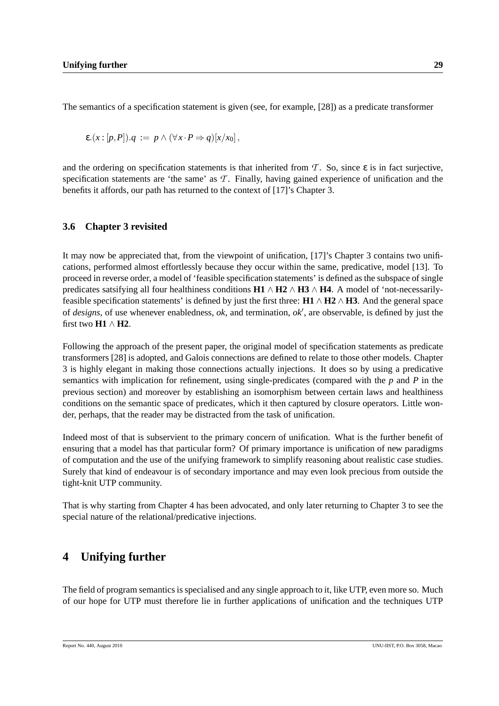The semantics of a specification statement is given (see, for example, [28]) as a predicate transformer

$$
\varepsilon.(x:[p,P]).q := p \wedge (\forall x \cdot P \Rightarrow q)[x/x_0],
$$

and the ordering on specification statements is that inherited from  $\mathcal T$ . So, since  $\varepsilon$  is in fact surjective, specification statements are 'the same' as *T* . Finally, having gained experience of unification and the benefits it affords, our path has returned to the context of [17]'s Chapter 3.

### **3.6 Chapter 3 revisited**

It may now be appreciated that, from the viewpoint of unification, [17]'s Chapter 3 contains two unifications, performed almost effortlessly because they occur within the same, predicative, model [13]. To proceed in reverse order, a model of 'feasible specification statements' is defined as the subspace of single predicates satsifying all four healthiness conditions **H1** ∧ **H2** ∧ **H3** ∧ **H4**. A model of 'not-necessarilyfeasible specification statements' is defined by just the first three:  $H1 \wedge H2 \wedge H3$ . And the general space of *designs*, of use whenever enabledness, *ok*, and termination, *ok*′ , are observable, is defined by just the first two **H1** ∧ **H2**.

Following the approach of the present paper, the original model of specification statements as predicate transformers [28] is adopted, and Galois connections are defined to relate to those other models. Chapter 3 is highly elegant in making those connections actually injections. It does so by using a predicative semantics with implication for refinement, using single-predicates (compared with the *p* and *P* in the previous section) and moreover by establishing an isomorphism between certain laws and healthiness conditions on the semantic space of predicates, which it then captured by closure operators. Little wonder, perhaps, that the reader may be distracted from the task of unification.

Indeed most of that is subservient to the primary concern of unification. What is the further benefit of ensuring that a model has that particular form? Of primary importance is unification of new paradigms of computation and the use of the unifying framework to simplify reasoning about realistic case studies. Surely that kind of endeavour is of secondary importance and may even look precious from outside the tight-knit UTP community.

That is why starting from Chapter 4 has been advocated, and only later returning to Chapter 3 to see the special nature of the relational/predicative injections.

## **4 Unifying further**

The field of program semantics is specialised and any single approach to it, like UTP, even more so. Much of our hope for UTP must therefore lie in further applications of unification and the techniques UTP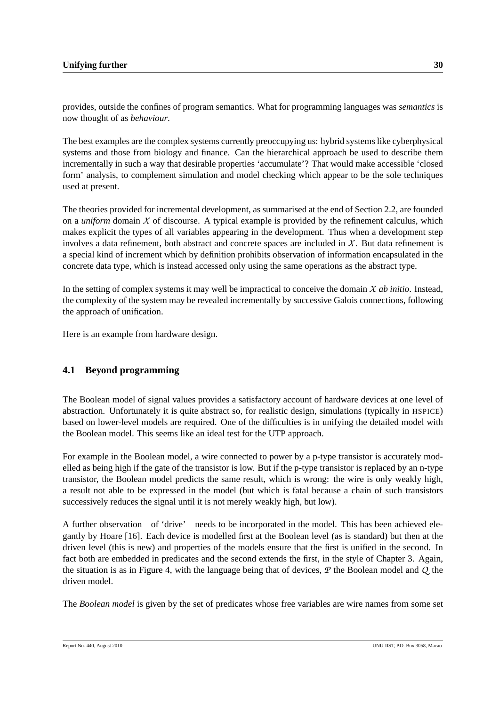provides, outside the confines of program semantics. What for programming languages was *semantics* is now thought of as *behaviour*.

The best examples are the complex systems currently preoccupying us: hybrid systems like cyberphysical systems and those from biology and finance. Can the hierarchical approach be used to describe them incrementally in such a way that desirable properties 'accumulate'? That would make accessible 'closed form' analysis, to complement simulation and model checking which appear to be the sole techniques used at present.

The theories provided for incremental development, as summarised at the end of Section 2.2, are founded on a *uniform* domain  $X$  of discourse. A typical example is provided by the refinement calculus, which makes explicit the types of all variables appearing in the development. Thus when a development step involves a data refinement, both abstract and concrete spaces are included in *X*. But data refinement is a special kind of increment which by definition prohibits observation of information encapsulated in the concrete data type, which is instead accessed only using the same operations as the abstract type.

In the setting of complex systems it may well be impractical to conceive the domain *X ab initio*. Instead, the complexity of the system may be revealed incrementally by successive Galois connections, following the approach of unification.

Here is an example from hardware design.

## **4.1 Beyond programming**

The Boolean model of signal values provides a satisfactory account of hardware devices at one level of abstraction. Unfortunately it is quite abstract so, for realistic design, simulations (typically in HSPICE) based on lower-level models are required. One of the difficulties is in unifying the detailed model with the Boolean model. This seems like an ideal test for the UTP approach.

For example in the Boolean model, a wire connected to power by a p-type transistor is accurately modelled as being high if the gate of the transistor is low. But if the p-type transistor is replaced by an n-type transistor, the Boolean model predicts the same result, which is wrong: the wire is only weakly high, a result not able to be expressed in the model (but which is fatal because a chain of such transistors successively reduces the signal until it is not merely weakly high, but low).

A further observation—of 'drive'—needs to be incorporated in the model. This has been achieved elegantly by Hoare [16]. Each device is modelled first at the Boolean level (as is standard) but then at the driven level (this is new) and properties of the models ensure that the first is unified in the second. In fact both are embedded in predicates and the second extends the first, in the style of Chapter 3. Again, the situation is as in Figure 4, with the language being that of devices, *P* the Boolean model and *Q* the driven model.

The *Boolean model* is given by the set of predicates whose free variables are wire names from some set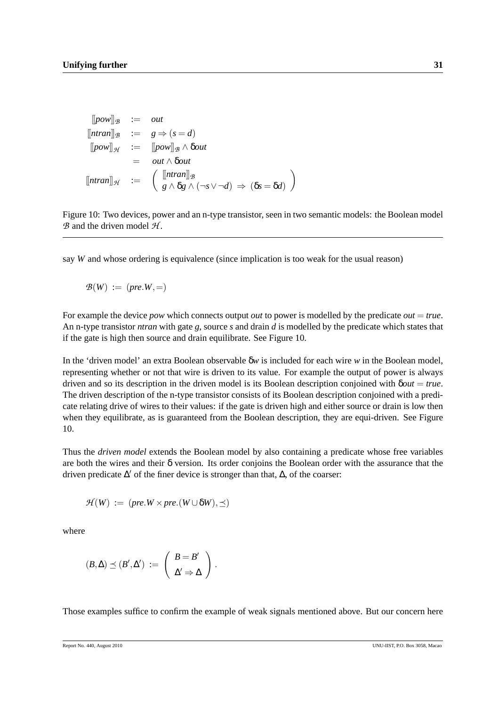$$
[[pow]]_{\mathcal{B}} := out
$$
  
\n
$$
[[ntran]]_{\mathcal{B}} := g \Rightarrow (s = d)
$$
  
\n
$$
[[pow]]_{\mathcal{H}} := [[pow]]_{\mathcal{B}} \wedge \delta out
$$
  
\n
$$
= out \wedge \delta out
$$
  
\n
$$
[[ntran]]_{\mathcal{H}} := \left( \begin{array}{c} [[ntran]]_{\mathcal{B}} \\ g \wedge \delta g \wedge (\neg s \vee \neg d) \Rightarrow (\delta s = \delta d) \end{array} \right)
$$

Figure 10: Two devices, power and an n-type transistor, seen in two semantic models: the Boolean model *B* and the driven model *H* .

say *W* and whose ordering is equivalence (since implication is too weak for the usual reason)

$$
\mathcal{B}(W) \ := \ (pre.W,=)
$$

For example the device *pow* which connects output *out* to power is modelled by the predicate *out* = *true*. An n-type transistor *ntran* with gate *g*, source *s* and drain *d* is modelled by the predicate which states that if the gate is high then source and drain equilibrate. See Figure 10.

In the 'driven model' an extra Boolean observable δ*w* is included for each wire *w* in the Boolean model, representing whether or not that wire is driven to its value. For example the output of power is always driven and so its description in the driven model is its Boolean description conjoined with δ*out* = *true*. The driven description of the n-type transistor consists of its Boolean description conjoined with a predicate relating drive of wires to their values: if the gate is driven high and either source or drain is low then when they equilibrate, as is guaranteed from the Boolean description, they are equi-driven. See Figure 10.

Thus the *driven model* extends the Boolean model by also containing a predicate whose free variables are both the wires and their δ version. Its order conjoins the Boolean order with the assurance that the driven predicate  $\Delta'$  of the finer device is stronger than that,  $\Delta$ , of the coarser:

$$
\mathcal{H}(W) := (pre.W \times pre.(W \cup \delta W), \preceq)
$$

where

$$
(B,\Delta)\preceq (B',\Delta')\ :=\ \left(\begin{array}{c} B=B'\\[1ex] \Delta'\Rightarrow\Delta\end{array}\right)\,.
$$

Those examples suffice to confirm the example of weak signals mentioned above. But our concern here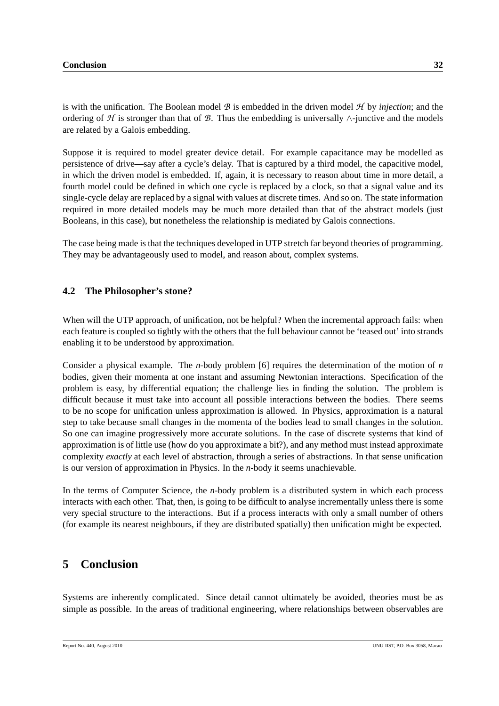is with the unification. The Boolean model *B* is embedded in the driven model *H* by *injection*; and the ordering of *H* is stronger than that of *B*. Thus the embedding is universally ∧-junctive and the models are related by a Galois embedding.

Suppose it is required to model greater device detail. For example capacitance may be modelled as persistence of drive—say after a cycle's delay. That is captured by a third model, the capacitive model, in which the driven model is embedded. If, again, it is necessary to reason about time in more detail, a fourth model could be defined in which one cycle is replaced by a clock, so that a signal value and its single-cycle delay are replaced by a signal with values at discrete times. And so on. The state information required in more detailed models may be much more detailed than that of the abstract models (just Booleans, in this case), but nonetheless the relationship is mediated by Galois connections.

The case being made is that the techniques developed in UTP stretch far beyond theories of programming. They may be advantageously used to model, and reason about, complex systems.

## **4.2 The Philosopher's stone?**

When will the UTP approach, of unification, not be helpful? When the incremental approach fails: when each feature is coupled so tightly with the others that the full behaviour cannot be 'teased out' into strands enabling it to be understood by approximation.

Consider a physical example. The *n*-body problem [6] requires the determination of the motion of *n* bodies, given their momenta at one instant and assuming Newtonian interactions. Specification of the problem is easy, by differential equation; the challenge lies in finding the solution. The problem is difficult because it must take into account all possible interactions between the bodies. There seems to be no scope for unification unless approximation is allowed. In Physics, approximation is a natural step to take because small changes in the momenta of the bodies lead to small changes in the solution. So one can imagine progressively more accurate solutions. In the case of discrete systems that kind of approximation is of little use (how do you approximate a bit?), and any method must instead approximate complexity *exactly* at each level of abstraction, through a series of abstractions. In that sense unification is our version of approximation in Physics. In the *n*-body it seems unachievable.

In the terms of Computer Science, the *n*-body problem is a distributed system in which each process interacts with each other. That, then, is going to be difficult to analyse incrementally unless there is some very special structure to the interactions. But if a process interacts with only a small number of others (for example its nearest neighbours, if they are distributed spatially) then unification might be expected.

## **5 Conclusion**

Systems are inherently complicated. Since detail cannot ultimately be avoided, theories must be as simple as possible. In the areas of traditional engineering, where relationships between observables are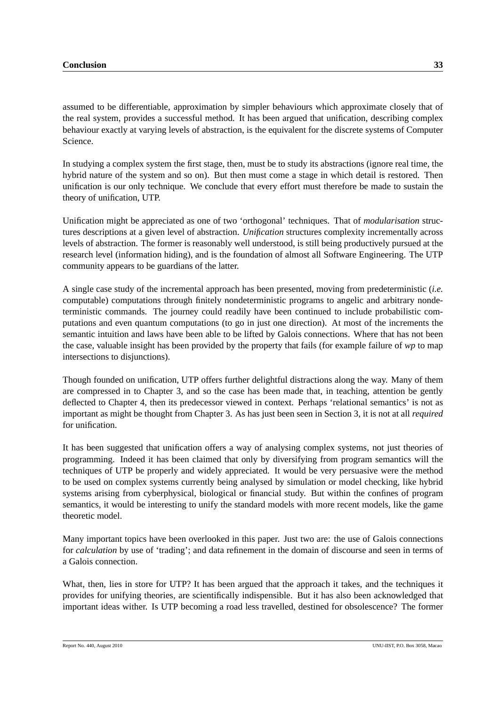assumed to be differentiable, approximation by simpler behaviours which approximate closely that of the real system, provides a successful method. It has been argued that unification, describing complex behaviour exactly at varying levels of abstraction, is the equivalent for the discrete systems of Computer Science.

In studying a complex system the first stage, then, must be to study its abstractions (ignore real time, the hybrid nature of the system and so on). But then must come a stage in which detail is restored. Then unification is our only technique. We conclude that every effort must therefore be made to sustain the theory of unification, UTP.

Unification might be appreciated as one of two 'orthogonal' techniques. That of *modularisation* structures descriptions at a given level of abstraction. *Unification* structures complexity incrementally across levels of abstraction. The former is reasonably well understood, is still being productively pursued at the research level (information hiding), and is the foundation of almost all Software Engineering. The UTP community appears to be guardians of the latter.

A single case study of the incremental approach has been presented, moving from predeterministic (*i.e.* computable) computations through finitely nondeterministic programs to angelic and arbitrary nondeterministic commands. The journey could readily have been continued to include probabilistic computations and even quantum computations (to go in just one direction). At most of the increments the semantic intuition and laws have been able to be lifted by Galois connections. Where that has not been the case, valuable insight has been provided by the property that fails (for example failure of *wp* to map intersections to disjunctions).

Though founded on unification, UTP offers further delightful distractions along the way. Many of them are compressed in to Chapter 3, and so the case has been made that, in teaching, attention be gently deflected to Chapter 4, then its predecessor viewed in context. Perhaps 'relational semantics' is not as important as might be thought from Chapter 3. As has just been seen in Section 3, it is not at all *required* for unification.

It has been suggested that unification offers a way of analysing complex systems, not just theories of programming. Indeed it has been claimed that only by diversifying from program semantics will the techniques of UTP be properly and widely appreciated. It would be very persuasive were the method to be used on complex systems currently being analysed by simulation or model checking, like hybrid systems arising from cyberphysical, biological or financial study. But within the confines of program semantics, it would be interesting to unify the standard models with more recent models, like the game theoretic model.

Many important topics have been overlooked in this paper. Just two are: the use of Galois connections for *calculation* by use of 'trading'; and data refinement in the domain of discourse and seen in terms of a Galois connection.

What, then, lies in store for UTP? It has been argued that the approach it takes, and the techniques it provides for unifying theories, are scientifically indispensible. But it has also been acknowledged that important ideas wither. Is UTP becoming a road less travelled, destined for obsolescence? The former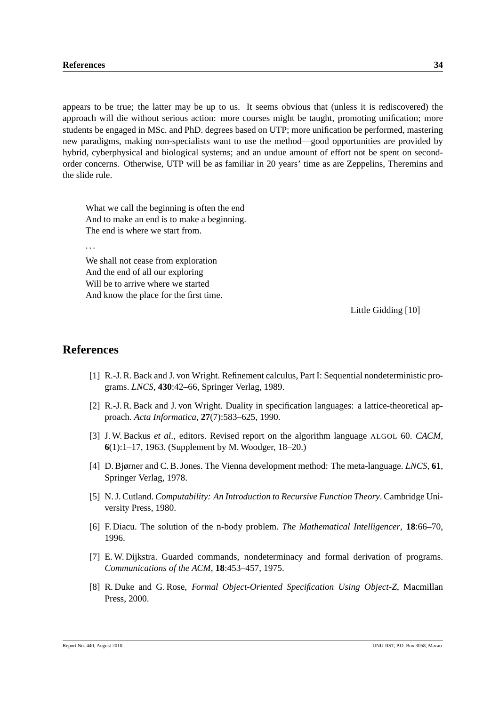appears to be true; the latter may be up to us. It seems obvious that (unless it is rediscovered) the approach will die without serious action: more courses might be taught, promoting unification; more students be engaged in MSc. and PhD. degrees based on UTP; more unification be performed, mastering new paradigms, making non-specialists want to use the method—good opportunities are provided by hybrid, cyberphysical and biological systems; and an undue amount of effort not be spent on secondorder concerns. Otherwise, UTP will be as familiar in 20 years' time as are Zeppelins, Theremins and the slide rule.

What we call the beginning is often the end And to make an end is to make a beginning. The end is where we start from.

. . .

We shall not cease from exploration And the end of all our exploring Will be to arrive where we started And know the place for the first time.

Little Gidding [10]

## **References**

- [1] R.-J. R. Back and J. von Wright. Refinement calculus, Part I: Sequential nondeterministic programs. *LNCS*, **430**:42–66, Springer Verlag, 1989.
- [2] R.-J. R. Back and J. von Wright. Duality in specification languages: a lattice-theoretical approach. *Acta Informatica*, **27**(7):583–625, 1990.
- [3] J. W. Backus *et al*., editors. Revised report on the algorithm language ALGOL 60. *CACM*, **6**(1):1–17, 1963. (Supplement by M. Woodger, 18–20.)
- [4] D. Bjørner and C. B. Jones. The Vienna development method: The meta-language. *LNCS*, **61**, Springer Verlag, 1978.
- [5] N. J. Cutland. *Computability: An Introduction to Recursive Function Theory*. Cambridge University Press, 1980.
- [6] F. Diacu. The solution of the n-body problem. *The Mathematical Intelligencer*, **18**:66–70, 1996.
- [7] E. W. Dijkstra. Guarded commands, nondeterminacy and formal derivation of programs. *Communications of the ACM*, **18**:453–457, 1975.
- [8] R. Duke and G. Rose, *Formal Object-Oriented Specification Using Object-Z*, Macmillan Press, 2000.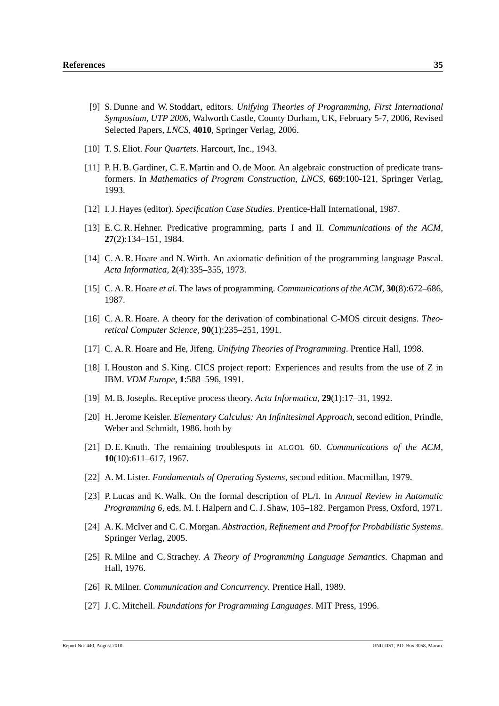- [9] S. Dunne and W. Stoddart, editors. *Unifying Theories of Programming, First International Symposium, UTP 2006*, Walworth Castle, County Durham, UK, February 5-7, 2006, Revised Selected Papers, *LNCS*, **4010**, Springer Verlag, 2006.
- [10] T. S. Eliot. *Four Quartets*. Harcourt, Inc., 1943.
- [11] P. H. B. Gardiner, C. E. Martin and O. de Moor. An algebraic construction of predicate transformers. In *Mathematics of Program Construction*, *LNCS*, **669**:100-121, Springer Verlag, 1993.
- [12] I. J. Hayes (editor). *Specification Case Studies*. Prentice-Hall International, 1987.
- [13] E. C. R. Hehner. Predicative programming, parts I and II. *Communications of the ACM*, **27**(2):134–151, 1984.
- [14] C. A. R. Hoare and N. Wirth. An axiomatic definition of the programming language Pascal. *Acta Informatica*, **2**(4):335–355, 1973.
- [15] C. A. R. Hoare *et al*. The laws of programming. *Communications of the ACM*, **30**(8):672–686, 1987.
- [16] C. A. R. Hoare. A theory for the derivation of combinational C-MOS circuit designs. *Theoretical Computer Science*, **90**(1):235–251, 1991.
- [17] C. A. R. Hoare and He, Jifeng. *Unifying Theories of Programming*. Prentice Hall, 1998.
- [18] I. Houston and S. King. CICS project report: Experiences and results from the use of Z in IBM. *VDM Europe*, **1**:588–596, 1991.
- [19] M. B. Josephs. Receptive process theory. *Acta Informatica*, **29**(1):17–31, 1992.
- [20] H. Jerome Keisler. *Elementary Calculus: An Infinitesimal Approach*, second edition, Prindle, Weber and Schmidt, 1986. both by
- [21] D. E. Knuth. The remaining troublespots in ALGOL 60. *Communications of the ACM*, **10**(10):611–617, 1967.
- [22] A. M. Lister. *Fundamentals of Operating Systems*, second edition. Macmillan, 1979.
- [23] P. Lucas and K. Walk. On the formal description of PL/I. In *Annual Review in Automatic Programming 6*, eds. M. I. Halpern and C. J. Shaw, 105–182. Pergamon Press, Oxford, 1971.
- [24] A. K. McIver and C. C. Morgan. *Abstraction, Refinement and Proof for Probabilistic Systems*. Springer Verlag, 2005.
- [25] R. Milne and C. Strachey. *A Theory of Programming Language Semantics*. Chapman and Hall, 1976.
- [26] R. Milner. *Communication and Concurrency*. Prentice Hall, 1989.
- [27] J. C. Mitchell. *Foundations for Programming Languages*. MIT Press, 1996.

Report No. 440, August 2010 UNU-IIST, P.O. Box 3058, Macao